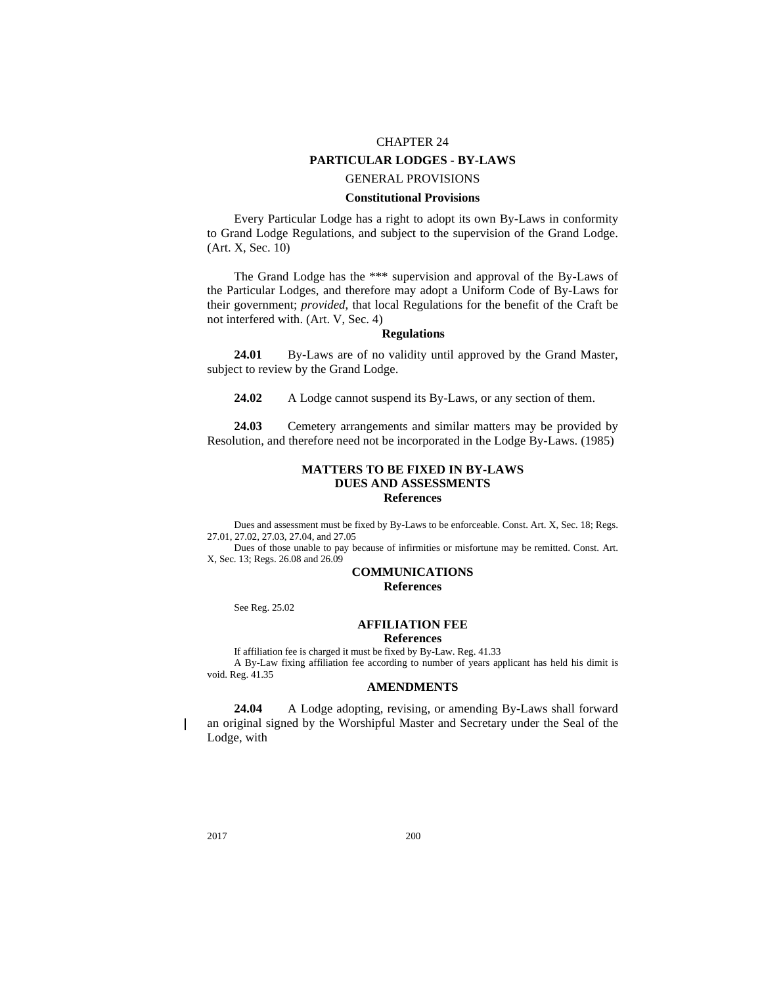# CHAPTER 24

## **PARTICULAR LODGES - BY-LAWS**

## GENERAL PROVISIONS

## **Constitutional Provisions**

Every Particular Lodge has a right to adopt its own By-Laws in conformity to Grand Lodge Regulations, and subject to the supervision of the Grand Lodge. (Art. X, Sec. 10)

The Grand Lodge has the \*\*\* supervision and approval of the By-Laws of the Particular Lodges, and therefore may adopt a Uniform Code of By-Laws for their government; *provided*, that local Regulations for the benefit of the Craft be not interfered with. (Art. V, Sec. 4)

#### **Regulations**

**24.01** By-Laws are of no validity until approved by the Grand Master, subject to review by the Grand Lodge.

**24.02** A Lodge cannot suspend its By-Laws, or any section of them.

**24.03** Cemetery arrangements and similar matters may be provided by Resolution, and therefore need not be incorporated in the Lodge By-Laws. (1985)

#### **MATTERS TO BE FIXED IN BY-LAWS DUES AND ASSESSMENTS References**

Dues and assessment must be fixed by By-Laws to be enforceable. Const. Art. X, Sec. 18; Regs. 27.01, 27.02, 27.03, 27.04, and 27.05

Dues of those unable to pay because of infirmities or misfortune may be remitted. Const. Art. X, Sec. 13; Regs. 26.08 and 26.09

## **COMMUNICATIONS**

**References**

See Reg. 25.02

#### **AFFILIATION FEE References**

If affiliation fee is charged it must be fixed by By-Law. Reg. 41.33

A By-Law fixing affiliation fee according to number of years applicant has held his dimit is void. Reg. 41.35

#### **AMENDMENTS**

**24.04** A Lodge adopting, revising, or amending By-Laws shall forward an original signed by the Worshipful Master and Secretary under the Seal of the Lodge, with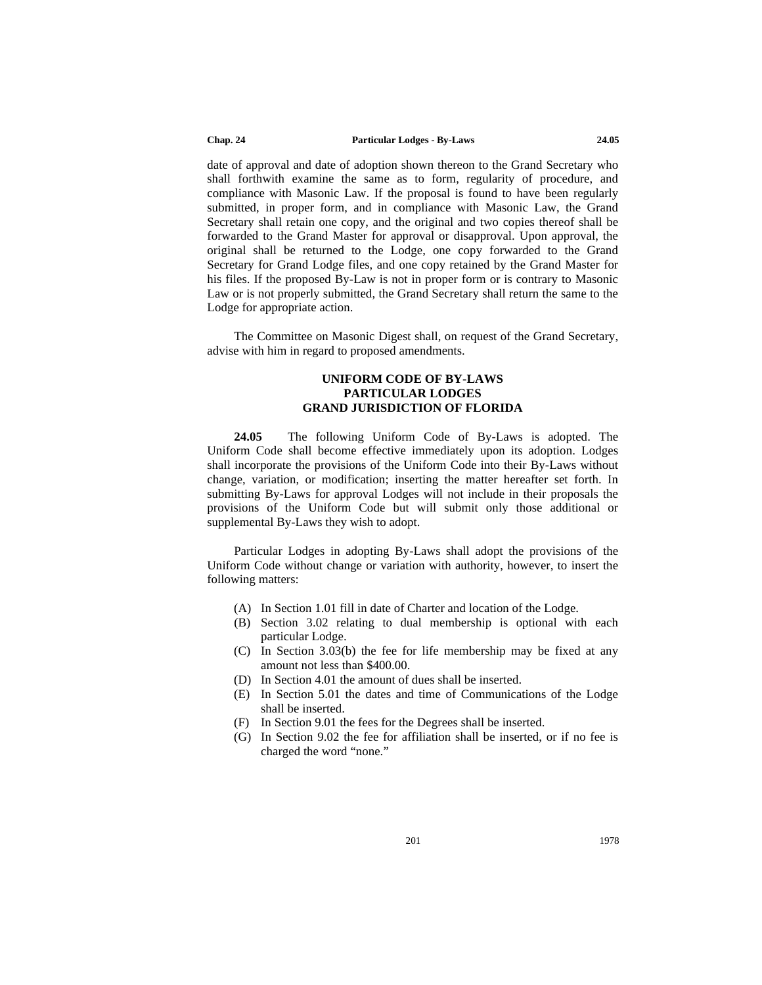date of approval and date of adoption shown thereon to the Grand Secretary who shall forthwith examine the same as to form, regularity of procedure, and compliance with Masonic Law. If the proposal is found to have been regularly submitted, in proper form, and in compliance with Masonic Law, the Grand Secretary shall retain one copy, and the original and two copies thereof shall be forwarded to the Grand Master for approval or disapproval. Upon approval, the original shall be returned to the Lodge, one copy forwarded to the Grand Secretary for Grand Lodge files, and one copy retained by the Grand Master for his files. If the proposed By-Law is not in proper form or is contrary to Masonic Law or is not properly submitted, the Grand Secretary shall return the same to the Lodge for appropriate action.

The Committee on Masonic Digest shall, on request of the Grand Secretary, advise with him in regard to proposed amendments.

## **UNIFORM CODE OF BY-LAWS PARTICULAR LODGES GRAND JURISDICTION OF FLORIDA**

**24.05** The following Uniform Code of By-Laws is adopted. The Uniform Code shall become effective immediately upon its adoption. Lodges shall incorporate the provisions of the Uniform Code into their By-Laws without change, variation, or modification; inserting the matter hereafter set forth. In submitting By-Laws for approval Lodges will not include in their proposals the provisions of the Uniform Code but will submit only those additional or supplemental By-Laws they wish to adopt.

Particular Lodges in adopting By-Laws shall adopt the provisions of the Uniform Code without change or variation with authority, however, to insert the following matters:

- (A) In Section 1.01 fill in date of Charter and location of the Lodge.
- (B) Section 3.02 relating to dual membership is optional with each particular Lodge.
- (C) In Section 3.03(b) the fee for life membership may be fixed at any amount not less than \$400.00.
- (D) In Section 4.01 the amount of dues shall be inserted.
- (E) In Section 5.01 the dates and time of Communications of the Lodge shall be inserted.
- (F) In Section 9.01 the fees for the Degrees shall be inserted.
- (G) In Section 9.02 the fee for affiliation shall be inserted, or if no fee is charged the word "none."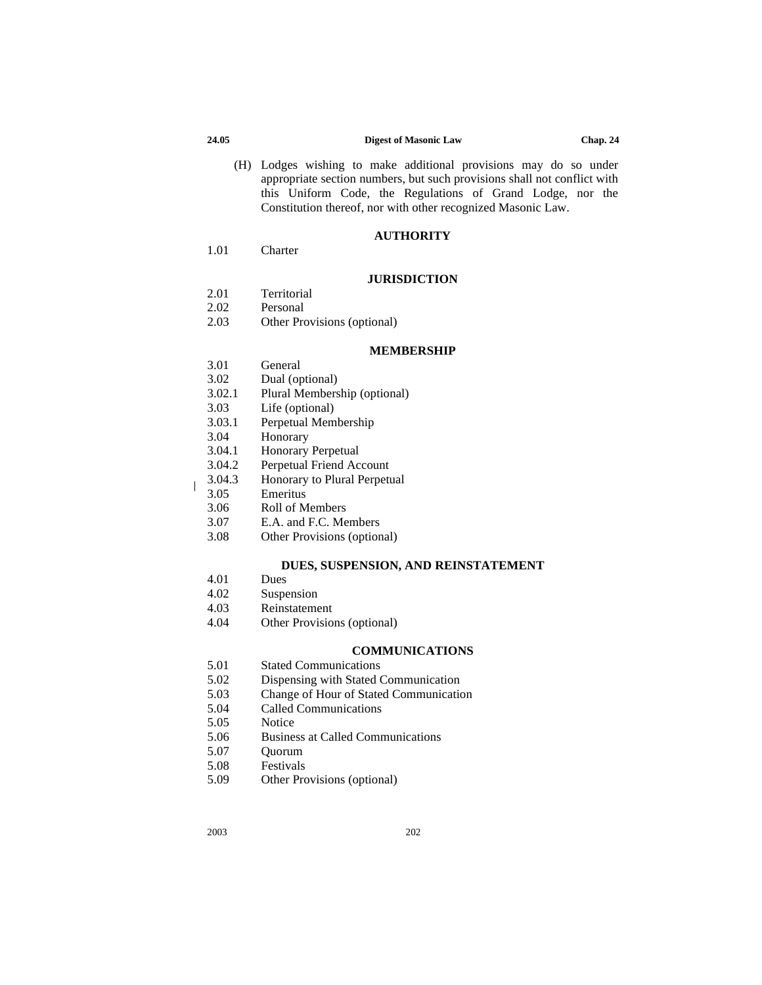(H) Lodges wishing to make additional provisions may do so under appropriate section numbers, but such provisions shall not conflict with this Uniform Code, the Regulations of Grand Lodge, nor the Constitution thereof, nor with other recognized Masonic Law.

#### **AUTHORITY**

1.01 Charter

#### **JURISDICTION**

- 2.01 Territorial<br>2.02 Personal
- Personal
- 2.03 Other Provisions (optional)

#### **MEMBERSHIP**

- 3.01 General
- 3.02 Dual (optional)
- 3.02.1 Plural Membership (optional)
- 3.03 Life (optional)
- 3.03.1 Perpetual Membership
- 3.04 Honorary
- 3.04.1 Honorary Perpetual
- 3.04.2 Perpetual Friend Account<br>3.04.3 Honorary to Plural Perpeti
- 3.04.3 Honorary to Plural Perpetual<br>3.05 Emeritus
- **Emeritus**
- 3.06 Roll of Members
- 3.07 E.A. and F.C. Members
- 3.08 Other Provisions (optional)

#### **DUES, SUSPENSION, AND REINSTATEMENT**

- 4.01 Dues
- 
- 4.02 Suspension<br>4.03 Reinstateme 4.03 Reinstatement
- 4.04 Other Provisions (optional)

### **COMMUNICATIONS**

- 5.01 Stated Communications
- 5.02 Dispensing with Stated Communication
- 5.03 Change of Hour of Stated Communication
- 5.04 Called Communications
- 5.05 Notice
- 5.06 Business at Called Communications
- 5.07 Quorum
- 5.08 Festivals
- 5.09 Other Provisions (optional)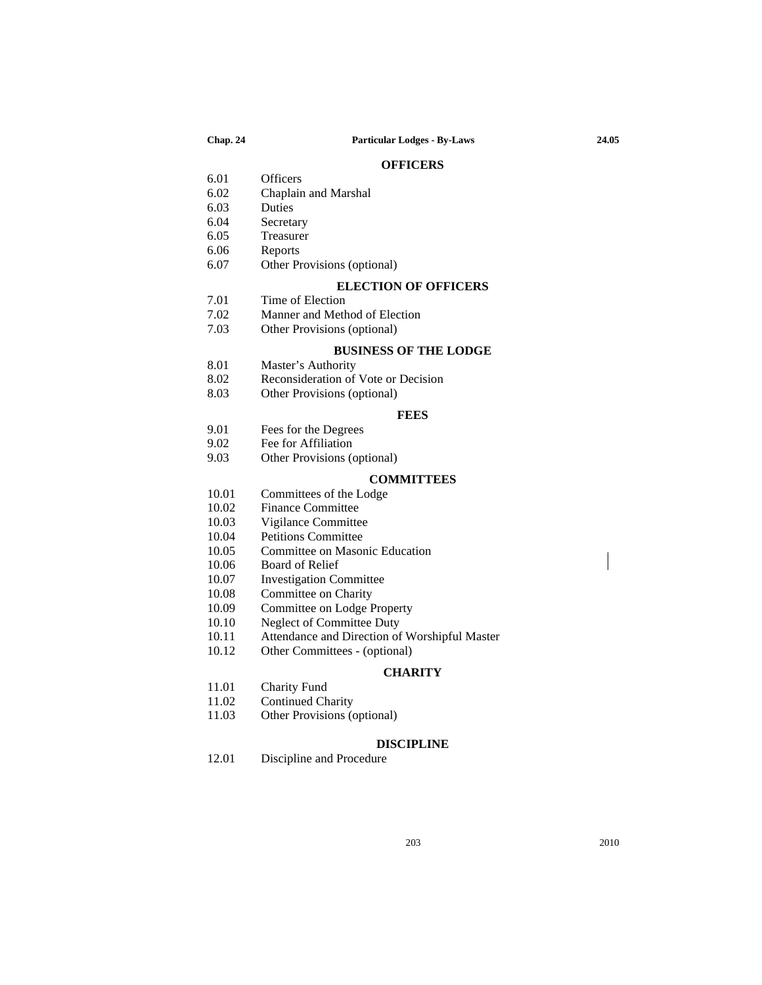#### **OFFICERS**

- 6.01 Officers
- 6.02 Chaplain and Marshal
- 6.03 Duties
- **Secretary**
- 6.05 Treasurer
- 6.06 Reports
- 6.07 Other Provisions (optional)

#### **ELECTION OF OFFICERS**

- 7.01 Time of Election
- 7.02 Manner and Method of Election<br>7.03 Other Provisions (optional)
- Other Provisions (optional)

#### **BUSINESS OF THE LODGE**

- 8.01 Master's Authority
- 8.02 Reconsideration of Vote or Decision
- 8.03 Other Provisions (optional)

#### **FEES**

- 9.01 Fees for the Degrees
	-
- 9.02 Fee for Affiliation<br>9.03 Other Provisions ( Other Provisions (optional)

### **COMMITTEES**

- 10.01 Committees of the Lodge
- 10.02 Finance Committee
- 10.03 Vigilance Committee
- 10.04 Petitions Committee
- 10.05 Committee on Masonic Education
- 10.06 Board of Relief
- 10.07 Investigation Committee
- 10.08 Committee on Charity<br>10.09 Committee on Lodge F
- 10.09 Committee on Lodge Property<br>10.10 Neglect of Committee Duty
- Neglect of Committee Duty
- 10.11 Attendance and Direction of Worshipful Master<br>10.12 Other Committees (optional)
- Other Committees (optional)

#### **CHARITY**

- 11.01 Charity Fund
- 11.02 Continued Charity
- 11.03 Other Provisions (optional)

#### **DISCIPLINE**

12.01 Discipline and Procedure

203 2010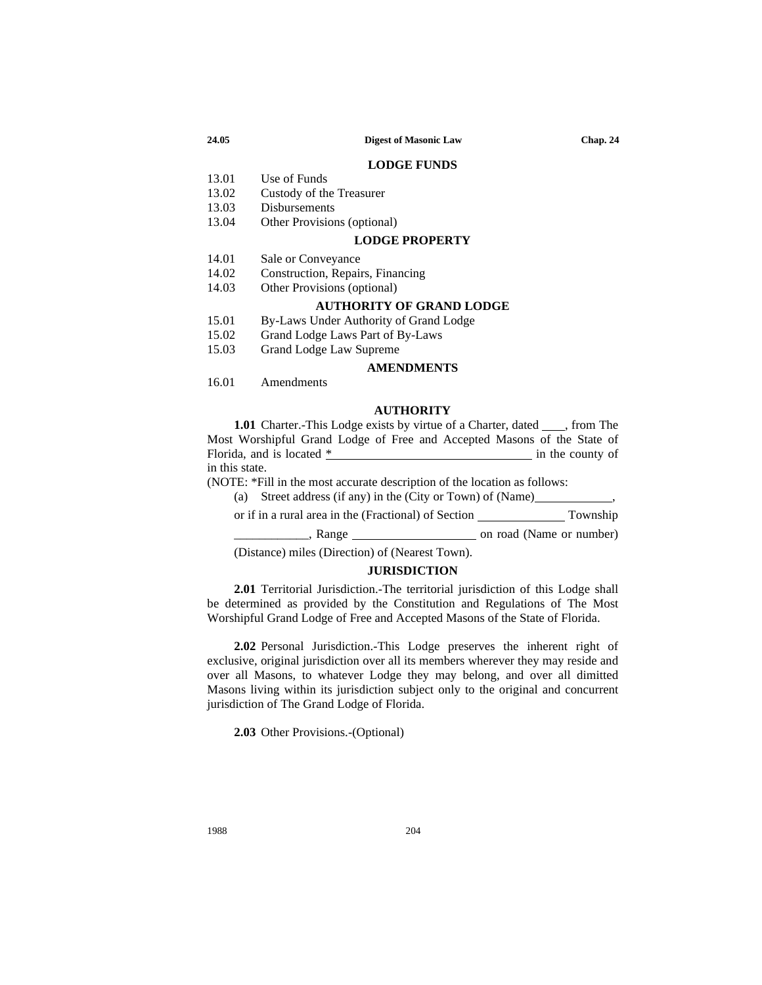#### **LODGE FUNDS**

- 13.01 Use of Funds
- 13.02 Custody of the Treasurer
- 13.03 Disbursements<br>13.04 Other Provision
	- Other Provisions (optional)

#### **LODGE PROPERTY**

- 14.01 Sale or Conveyance<br>14.02 Construction. Repair
- Construction, Repairs, Financing
- 14.03 Other Provisions (optional)

#### **AUTHORITY OF GRAND LODGE**

- 15.01 By-Laws Under Authority of Grand Lodge
- 15.02 Grand Lodge Laws Part of By-Laws
- 15.03 Grand Lodge Law Supreme

#### **AMENDMENTS**

16.01 Amendments

#### **AUTHORITY**

**1.01** Charter.-This Lodge exists by virtue of a Charter, dated \_\_\_\_, from The Most Worshipful Grand Lodge of Free and Accepted Masons of the State of Florida, and is located \* in the county of in this state.

(NOTE: \*Fill in the most accurate description of the location as follows:

(a) Street address (if any) in the (City or Town) of (Name)

or if in a rural area in the (Fractional) of Section Township

\_\_\_\_\_\_\_\_\_\_\_\_, Range on road (Name or number)

(Distance) miles (Direction) of (Nearest Town).

#### **JURISDICTION**

**2.01** Territorial Jurisdiction.-The territorial jurisdiction of this Lodge shall be determined as provided by the Constitution and Regulations of The Most Worshipful Grand Lodge of Free and Accepted Masons of the State of Florida.

**2.02** Personal Jurisdiction.-This Lodge preserves the inherent right of exclusive, original jurisdiction over all its members wherever they may reside and over all Masons, to whatever Lodge they may belong, and over all dimitted Masons living within its jurisdiction subject only to the original and concurrent jurisdiction of The Grand Lodge of Florida.

**2.03** Other Provisions.-(Optional)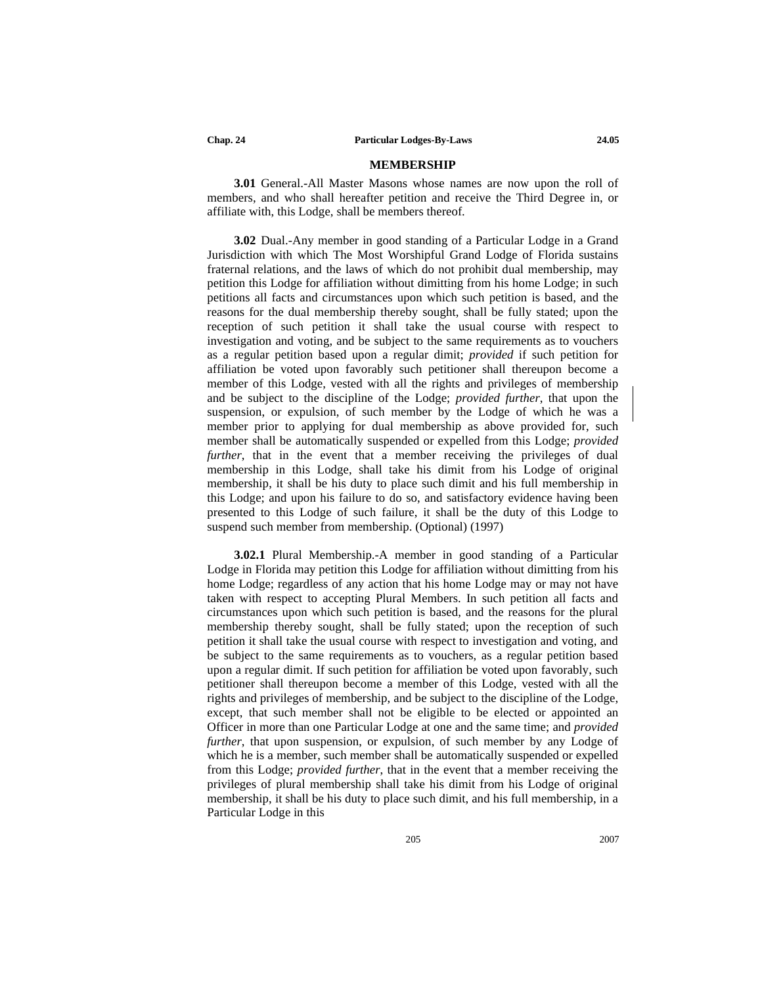#### **MEMBERSHIP**

**3.01** General.-All Master Masons whose names are now upon the roll of members, and who shall hereafter petition and receive the Third Degree in, or affiliate with, this Lodge, shall be members thereof.

**3.02** Dual.-Any member in good standing of a Particular Lodge in a Grand Jurisdiction with which The Most Worshipful Grand Lodge of Florida sustains fraternal relations, and the laws of which do not prohibit dual membership, may petition this Lodge for affiliation without dimitting from his home Lodge; in such petitions all facts and circumstances upon which such petition is based, and the reasons for the dual membership thereby sought, shall be fully stated; upon the reception of such petition it shall take the usual course with respect to investigation and voting, and be subject to the same requirements as to vouchers as a regular petition based upon a regular dimit; *provided* if such petition for affiliation be voted upon favorably such petitioner shall thereupon become a member of this Lodge, vested with all the rights and privileges of membership and be subject to the discipline of the Lodge; *provided further*, that upon the suspension, or expulsion, of such member by the Lodge of which he was a member prior to applying for dual membership as above provided for, such member shall be automatically suspended or expelled from this Lodge; *provided further*, that in the event that a member receiving the privileges of dual membership in this Lodge, shall take his dimit from his Lodge of original membership, it shall be his duty to place such dimit and his full membership in this Lodge; and upon his failure to do so, and satisfactory evidence having been presented to this Lodge of such failure, it shall be the duty of this Lodge to suspend such member from membership. (Optional) (1997)

**3.02.1** Plural Membership.-A member in good standing of a Particular Lodge in Florida may petition this Lodge for affiliation without dimitting from his home Lodge; regardless of any action that his home Lodge may or may not have taken with respect to accepting Plural Members. In such petition all facts and circumstances upon which such petition is based, and the reasons for the plural membership thereby sought, shall be fully stated; upon the reception of such petition it shall take the usual course with respect to investigation and voting, and be subject to the same requirements as to vouchers, as a regular petition based upon a regular dimit. If such petition for affiliation be voted upon favorably, such petitioner shall thereupon become a member of this Lodge, vested with all the rights and privileges of membership, and be subject to the discipline of the Lodge, except, that such member shall not be eligible to be elected or appointed an Officer in more than one Particular Lodge at one and the same time; and *provided further*, that upon suspension, or expulsion, of such member by any Lodge of which he is a member, such member shall be automatically suspended or expelled from this Lodge; *provided further*, that in the event that a member receiving the privileges of plural membership shall take his dimit from his Lodge of original membership, it shall be his duty to place such dimit, and his full membership, in a Particular Lodge in this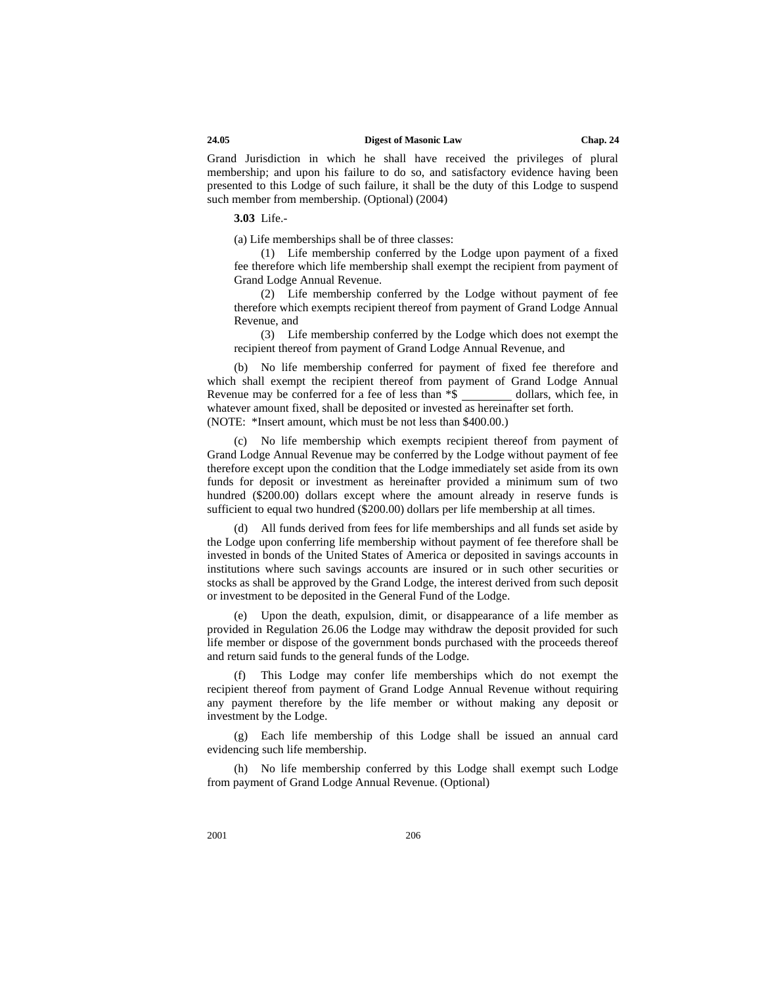Grand Jurisdiction in which he shall have received the privileges of plural membership; and upon his failure to do so, and satisfactory evidence having been presented to this Lodge of such failure, it shall be the duty of this Lodge to suspend such member from membership. (Optional) (2004)

**3.03** Life.-

(a) Life memberships shall be of three classes:

(1) Life membership conferred by the Lodge upon payment of a fixed fee therefore which life membership shall exempt the recipient from payment of Grand Lodge Annual Revenue.

(2) Life membership conferred by the Lodge without payment of fee therefore which exempts recipient thereof from payment of Grand Lodge Annual Revenue, and

(3) Life membership conferred by the Lodge which does not exempt the recipient thereof from payment of Grand Lodge Annual Revenue, and

(b) No life membership conferred for payment of fixed fee therefore and which shall exempt the recipient thereof from payment of Grand Lodge Annual Revenue may be conferred for a fee of less than  $*\$  dollars, which fee, in whatever amount fixed, shall be deposited or invested as hereinafter set forth. (NOTE: \*Insert amount, which must be not less than \$400.00.)

(c) No life membership which exempts recipient thereof from payment of Grand Lodge Annual Revenue may be conferred by the Lodge without payment of fee therefore except upon the condition that the Lodge immediately set aside from its own funds for deposit or investment as hereinafter provided a minimum sum of two hundred (\$200.00) dollars except where the amount already in reserve funds is sufficient to equal two hundred (\$200.00) dollars per life membership at all times.

(d) All funds derived from fees for life memberships and all funds set aside by the Lodge upon conferring life membership without payment of fee therefore shall be invested in bonds of the United States of America or deposited in savings accounts in institutions where such savings accounts are insured or in such other securities or stocks as shall be approved by the Grand Lodge, the interest derived from such deposit or investment to be deposited in the General Fund of the Lodge.

(e) Upon the death, expulsion, dimit, or disappearance of a life member as provided in Regulation 26.06 the Lodge may withdraw the deposit provided for such life member or dispose of the government bonds purchased with the proceeds thereof and return said funds to the general funds of the Lodge.

(f) This Lodge may confer life memberships which do not exempt the recipient thereof from payment of Grand Lodge Annual Revenue without requiring any payment therefore by the life member or without making any deposit or investment by the Lodge.

(g) Each life membership of this Lodge shall be issued an annual card evidencing such life membership.

(h) No life membership conferred by this Lodge shall exempt such Lodge from payment of Grand Lodge Annual Revenue. (Optional)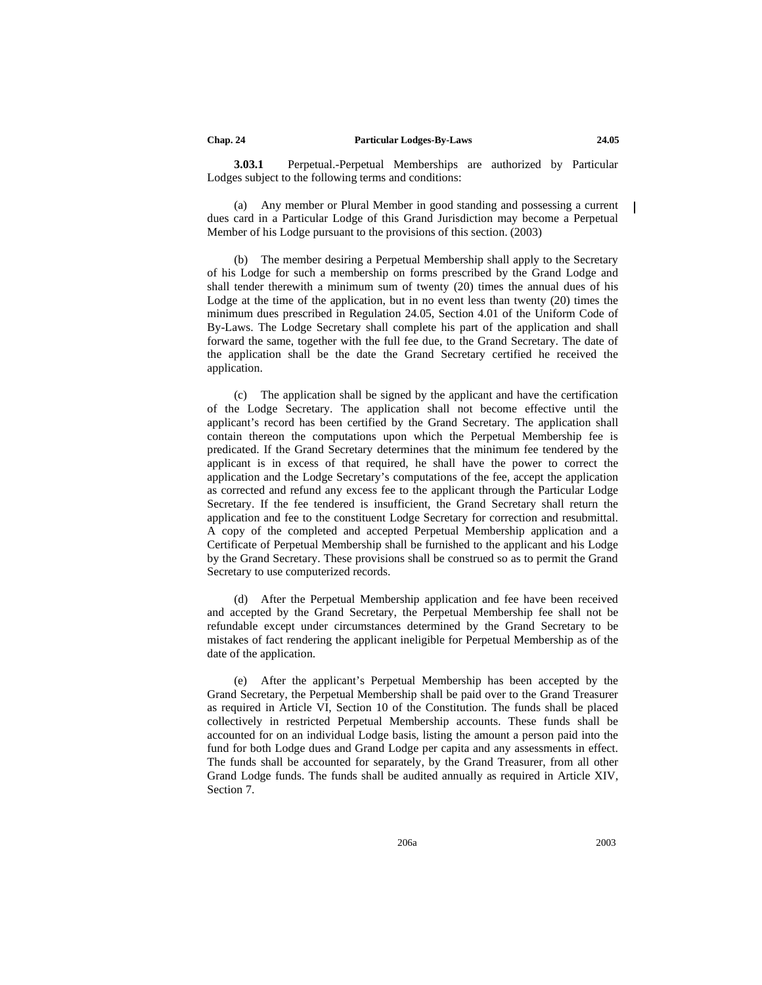**3.03.1** Perpetual.-Perpetual Memberships are authorized by Particular Lodges subject to the following terms and conditions:

(a) Any member or Plural Member in good standing and possessing a current dues card in a Particular Lodge of this Grand Jurisdiction may become a Perpetual Member of his Lodge pursuant to the provisions of this section. (2003)

(b) The member desiring a Perpetual Membership shall apply to the Secretary of his Lodge for such a membership on forms prescribed by the Grand Lodge and shall tender therewith a minimum sum of twenty (20) times the annual dues of his Lodge at the time of the application, but in no event less than twenty (20) times the minimum dues prescribed in Regulation 24.05, Section 4.01 of the Uniform Code of By-Laws. The Lodge Secretary shall complete his part of the application and shall forward the same, together with the full fee due, to the Grand Secretary. The date of the application shall be the date the Grand Secretary certified he received the application.

(c) The application shall be signed by the applicant and have the certification of the Lodge Secretary. The application shall not become effective until the applicant's record has been certified by the Grand Secretary. The application shall contain thereon the computations upon which the Perpetual Membership fee is predicated. If the Grand Secretary determines that the minimum fee tendered by the applicant is in excess of that required, he shall have the power to correct the application and the Lodge Secretary's computations of the fee, accept the application as corrected and refund any excess fee to the applicant through the Particular Lodge Secretary. If the fee tendered is insufficient, the Grand Secretary shall return the application and fee to the constituent Lodge Secretary for correction and resubmittal. A copy of the completed and accepted Perpetual Membership application and a Certificate of Perpetual Membership shall be furnished to the applicant and his Lodge by the Grand Secretary. These provisions shall be construed so as to permit the Grand Secretary to use computerized records.

(d) After the Perpetual Membership application and fee have been received and accepted by the Grand Secretary, the Perpetual Membership fee shall not be refundable except under circumstances determined by the Grand Secretary to be mistakes of fact rendering the applicant ineligible for Perpetual Membership as of the date of the application.

(e) After the applicant's Perpetual Membership has been accepted by the Grand Secretary, the Perpetual Membership shall be paid over to the Grand Treasurer as required in Article VI, Section 10 of the Constitution. The funds shall be placed collectively in restricted Perpetual Membership accounts. These funds shall be accounted for on an individual Lodge basis, listing the amount a person paid into the fund for both Lodge dues and Grand Lodge per capita and any assessments in effect. The funds shall be accounted for separately, by the Grand Treasurer, from all other Grand Lodge funds. The funds shall be audited annually as required in Article XIV, Section 7.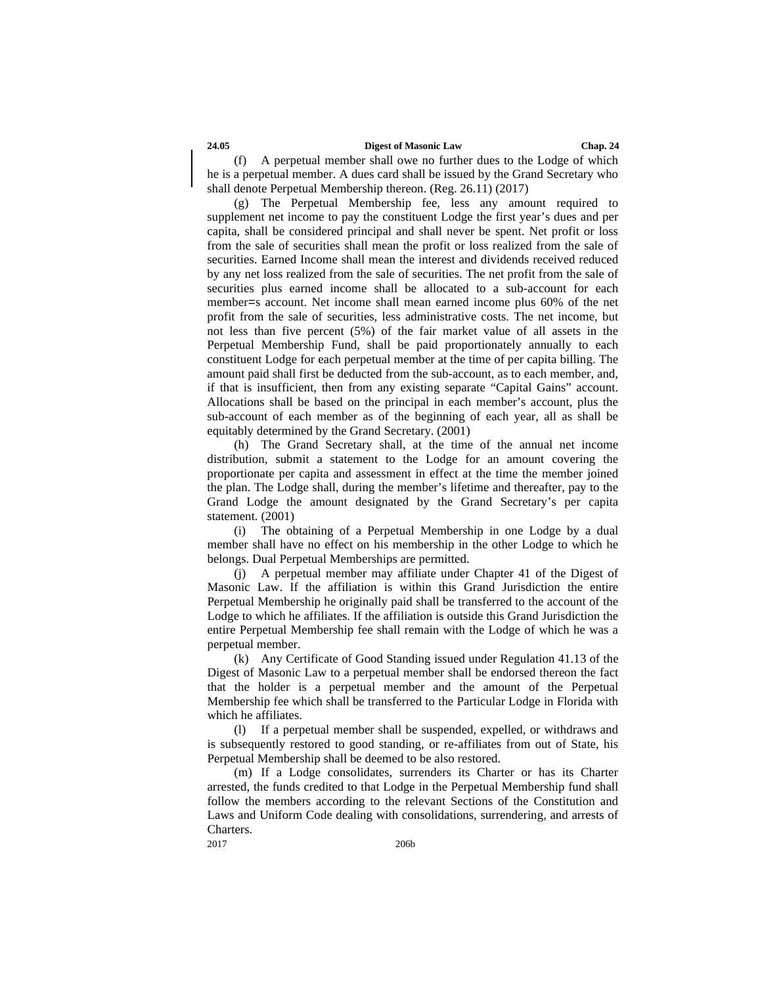(f) A perpetual member shall owe no further dues to the Lodge of which he is a perpetual member. A dues card shall be issued by the Grand Secretary who shall denote Perpetual Membership thereon. (Reg. 26.11) (2017)

(g) The Perpetual Membership fee, less any amount required to supplement net income to pay the constituent Lodge the first year's dues and per capita, shall be considered principal and shall never be spent. Net profit or loss from the sale of securities shall mean the profit or loss realized from the sale of securities. Earned Income shall mean the interest and dividends received reduced by any net loss realized from the sale of securities. The net profit from the sale of securities plus earned income shall be allocated to a sub-account for each member=s account. Net income shall mean earned income plus 60% of the net profit from the sale of securities, less administrative costs. The net income, but not less than five percent (5%) of the fair market value of all assets in the Perpetual Membership Fund, shall be paid proportionately annually to each constituent Lodge for each perpetual member at the time of per capita billing. The amount paid shall first be deducted from the sub-account, as to each member, and, if that is insufficient, then from any existing separate "Capital Gains" account. Allocations shall be based on the principal in each member's account, plus the sub-account of each member as of the beginning of each year, all as shall be equitably determined by the Grand Secretary. (2001)

(h) The Grand Secretary shall, at the time of the annual net income distribution, submit a statement to the Lodge for an amount covering the proportionate per capita and assessment in effect at the time the member joined the plan. The Lodge shall, during the member's lifetime and thereafter, pay to the Grand Lodge the amount designated by the Grand Secretary's per capita statement. (2001)

(i) The obtaining of a Perpetual Membership in one Lodge by a dual member shall have no effect on his membership in the other Lodge to which he belongs. Dual Perpetual Memberships are permitted.

(j) A perpetual member may affiliate under Chapter 41 of the Digest of Masonic Law. If the affiliation is within this Grand Jurisdiction the entire Perpetual Membership he originally paid shall be transferred to the account of the Lodge to which he affiliates. If the affiliation is outside this Grand Jurisdiction the entire Perpetual Membership fee shall remain with the Lodge of which he was a perpetual member.

(k) Any Certificate of Good Standing issued under Regulation 41.13 of the Digest of Masonic Law to a perpetual member shall be endorsed thereon the fact that the holder is a perpetual member and the amount of the Perpetual Membership fee which shall be transferred to the Particular Lodge in Florida with which he affiliates.

(l) If a perpetual member shall be suspended, expelled, or withdraws and is subsequently restored to good standing, or re-affiliates from out of State, his Perpetual Membership shall be deemed to be also restored.

(m) If a Lodge consolidates, surrenders its Charter or has its Charter arrested, the funds credited to that Lodge in the Perpetual Membership fund shall follow the members according to the relevant Sections of the Constitution and Laws and Uniform Code dealing with consolidations, surrendering, and arrests of Charters.

2017 206b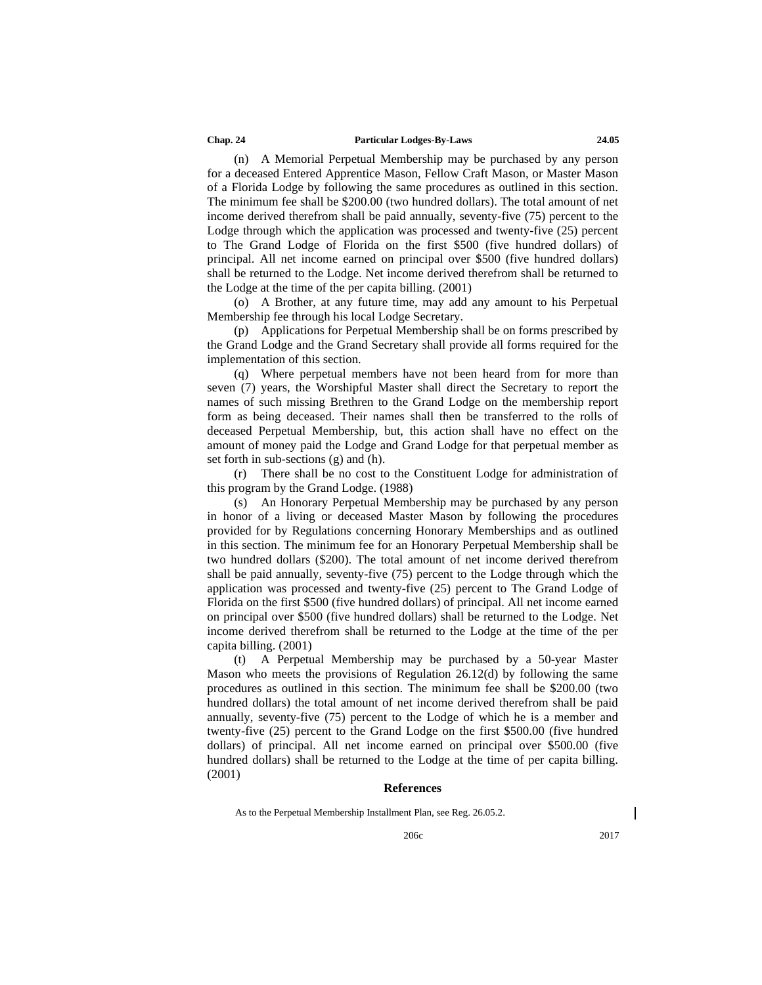#### **Chap. 24 Particular Lodges-By-Laws 24.05**

(n) A Memorial Perpetual Membership may be purchased by any person for a deceased Entered Apprentice Mason, Fellow Craft Mason, or Master Mason of a Florida Lodge by following the same procedures as outlined in this section. The minimum fee shall be \$200.00 (two hundred dollars). The total amount of net income derived therefrom shall be paid annually, seventy-five (75) percent to the Lodge through which the application was processed and twenty-five (25) percent to The Grand Lodge of Florida on the first \$500 (five hundred dollars) of principal. All net income earned on principal over \$500 (five hundred dollars) shall be returned to the Lodge. Net income derived therefrom shall be returned to the Lodge at the time of the per capita billing. (2001)

(o) A Brother, at any future time, may add any amount to his Perpetual Membership fee through his local Lodge Secretary.

(p) Applications for Perpetual Membership shall be on forms prescribed by the Grand Lodge and the Grand Secretary shall provide all forms required for the implementation of this section.

(q) Where perpetual members have not been heard from for more than seven (7) years, the Worshipful Master shall direct the Secretary to report the names of such missing Brethren to the Grand Lodge on the membership report form as being deceased. Their names shall then be transferred to the rolls of deceased Perpetual Membership, but, this action shall have no effect on the amount of money paid the Lodge and Grand Lodge for that perpetual member as set forth in sub-sections (g) and (h).

(r) There shall be no cost to the Constituent Lodge for administration of this program by the Grand Lodge. (1988)

(s) An Honorary Perpetual Membership may be purchased by any person in honor of a living or deceased Master Mason by following the procedures provided for by Regulations concerning Honorary Memberships and as outlined in this section. The minimum fee for an Honorary Perpetual Membership shall be two hundred dollars (\$200). The total amount of net income derived therefrom shall be paid annually, seventy-five (75) percent to the Lodge through which the application was processed and twenty-five (25) percent to The Grand Lodge of Florida on the first \$500 (five hundred dollars) of principal. All net income earned on principal over \$500 (five hundred dollars) shall be returned to the Lodge. Net income derived therefrom shall be returned to the Lodge at the time of the per capita billing. (2001)

(t) A Perpetual Membership may be purchased by a 50-year Master Mason who meets the provisions of Regulation 26.12(d) by following the same procedures as outlined in this section. The minimum fee shall be \$200.00 (two hundred dollars) the total amount of net income derived therefrom shall be paid annually, seventy-five (75) percent to the Lodge of which he is a member and twenty-five (25) percent to the Grand Lodge on the first \$500.00 (five hundred dollars) of principal. All net income earned on principal over \$500.00 (five hundred dollars) shall be returned to the Lodge at the time of per capita billing. (2001)

#### **References**

206c 2017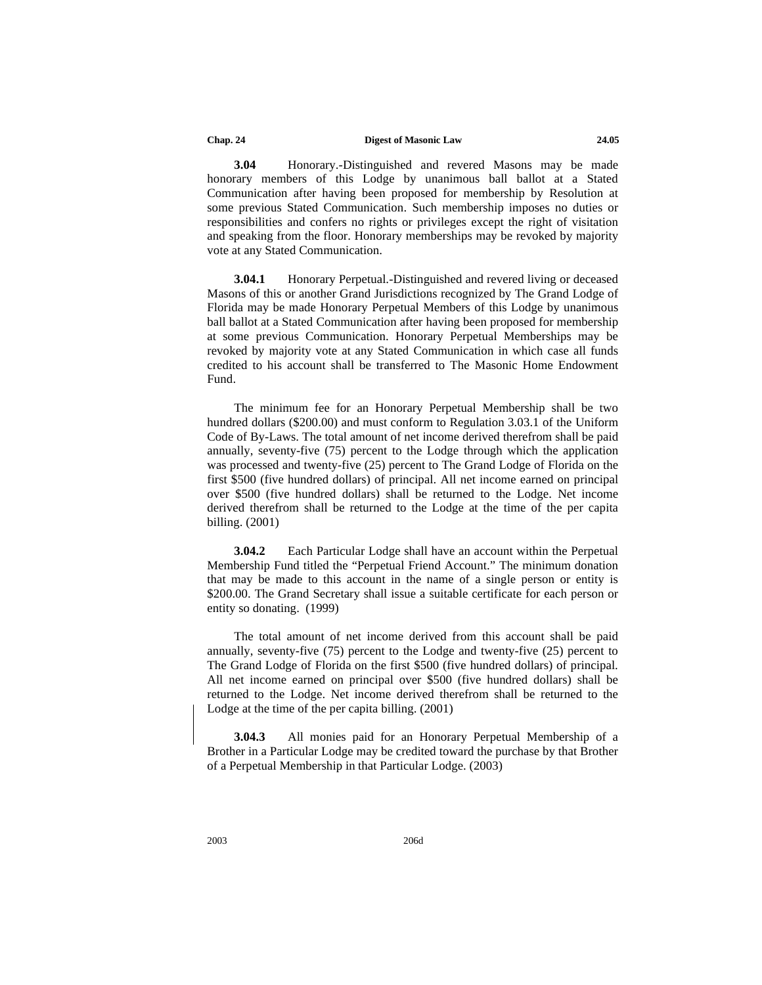**3.04** Honorary.-Distinguished and revered Masons may be made honorary members of this Lodge by unanimous ball ballot at a Stated Communication after having been proposed for membership by Resolution at some previous Stated Communication. Such membership imposes no duties or responsibilities and confers no rights or privileges except the right of visitation and speaking from the floor. Honorary memberships may be revoked by majority vote at any Stated Communication.

**3.04.1** Honorary Perpetual.-Distinguished and revered living or deceased Masons of this or another Grand Jurisdictions recognized by The Grand Lodge of Florida may be made Honorary Perpetual Members of this Lodge by unanimous ball ballot at a Stated Communication after having been proposed for membership at some previous Communication. Honorary Perpetual Memberships may be revoked by majority vote at any Stated Communication in which case all funds credited to his account shall be transferred to The Masonic Home Endowment Fund.

The minimum fee for an Honorary Perpetual Membership shall be two hundred dollars (\$200.00) and must conform to Regulation 3.03.1 of the Uniform Code of By-Laws. The total amount of net income derived therefrom shall be paid annually, seventy-five (75) percent to the Lodge through which the application was processed and twenty-five (25) percent to The Grand Lodge of Florida on the first \$500 (five hundred dollars) of principal. All net income earned on principal over \$500 (five hundred dollars) shall be returned to the Lodge. Net income derived therefrom shall be returned to the Lodge at the time of the per capita billing. (2001)

**3.04.2** Each Particular Lodge shall have an account within the Perpetual Membership Fund titled the "Perpetual Friend Account." The minimum donation that may be made to this account in the name of a single person or entity is \$200.00. The Grand Secretary shall issue a suitable certificate for each person or entity so donating. (1999)

The total amount of net income derived from this account shall be paid annually, seventy-five (75) percent to the Lodge and twenty-five (25) percent to The Grand Lodge of Florida on the first \$500 (five hundred dollars) of principal. All net income earned on principal over \$500 (five hundred dollars) shall be returned to the Lodge. Net income derived therefrom shall be returned to the Lodge at the time of the per capita billing. (2001)

**3.04.3** All monies paid for an Honorary Perpetual Membership of a Brother in a Particular Lodge may be credited toward the purchase by that Brother of a Perpetual Membership in that Particular Lodge. (2003)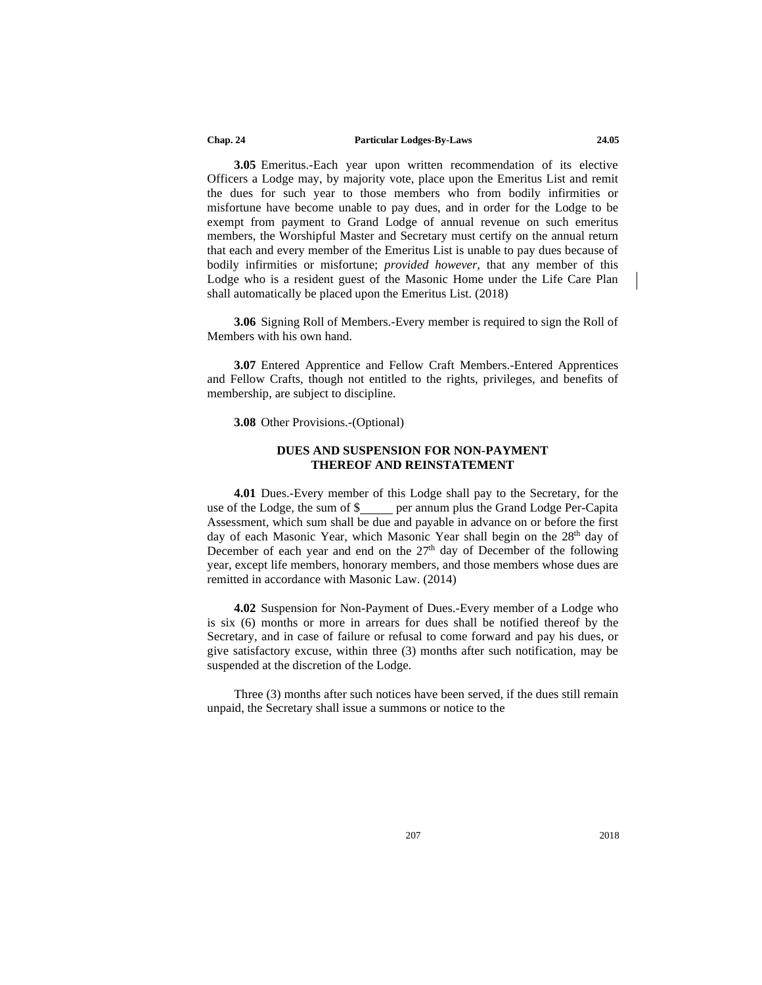#### **Chap. 24 Particular Lodges-By-Laws 24.05**

**3.05** Emeritus.-Each year upon written recommendation of its elective Officers a Lodge may, by majority vote, place upon the Emeritus List and remit the dues for such year to those members who from bodily infirmities or misfortune have become unable to pay dues, and in order for the Lodge to be exempt from payment to Grand Lodge of annual revenue on such emeritus members, the Worshipful Master and Secretary must certify on the annual return that each and every member of the Emeritus List is unable to pay dues because of bodily infirmities or misfortune; *provided however*, that any member of this Lodge who is a resident guest of the Masonic Home under the Life Care Plan shall automatically be placed upon the Emeritus List. (2018)

**3.06** Signing Roll of Members.-Every member is required to sign the Roll of Members with his own hand.

**3.07** Entered Apprentice and Fellow Craft Members.-Entered Apprentices and Fellow Crafts, though not entitled to the rights, privileges, and benefits of membership, are subject to discipline.

#### **3.08** Other Provisions.-(Optional)

#### **DUES AND SUSPENSION FOR NON-PAYMENT THEREOF AND REINSTATEMENT**

**4.01** Dues.-Every member of this Lodge shall pay to the Secretary, for the use of the Lodge, the sum of \$ per annum plus the Grand Lodge Per-Capita Assessment, which sum shall be due and payable in advance on or before the first day of each Masonic Year, which Masonic Year shall begin on the 28<sup>th</sup> day of December of each year and end on the  $27<sup>th</sup>$  day of December of the following year, except life members, honorary members, and those members whose dues are remitted in accordance with Masonic Law. (2014)

**4.02** Suspension for Non-Payment of Dues.-Every member of a Lodge who is six (6) months or more in arrears for dues shall be notified thereof by the Secretary, and in case of failure or refusal to come forward and pay his dues, or give satisfactory excuse, within three (3) months after such notification, may be suspended at the discretion of the Lodge.

Three (3) months after such notices have been served, if the dues still remain unpaid, the Secretary shall issue a summons or notice to the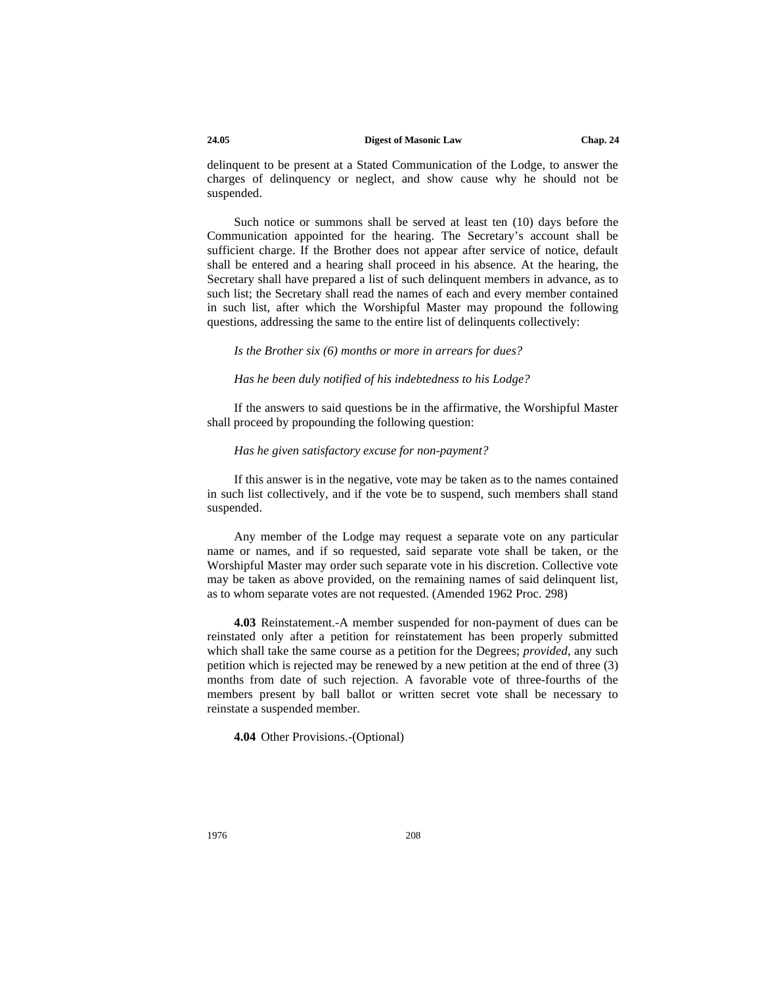delinquent to be present at a Stated Communication of the Lodge, to answer the charges of delinquency or neglect, and show cause why he should not be suspended.

Such notice or summons shall be served at least ten (10) days before the Communication appointed for the hearing. The Secretary's account shall be sufficient charge. If the Brother does not appear after service of notice, default shall be entered and a hearing shall proceed in his absence. At the hearing, the Secretary shall have prepared a list of such delinquent members in advance, as to such list; the Secretary shall read the names of each and every member contained in such list, after which the Worshipful Master may propound the following questions, addressing the same to the entire list of delinquents collectively:

*Is the Brother six (6) months or more in arrears for dues?*

#### *Has he been duly notified of his indebtedness to his Lodge?*

If the answers to said questions be in the affirmative, the Worshipful Master shall proceed by propounding the following question:

#### *Has he given satisfactory excuse for non-payment?*

If this answer is in the negative, vote may be taken as to the names contained in such list collectively, and if the vote be to suspend, such members shall stand suspended.

Any member of the Lodge may request a separate vote on any particular name or names, and if so requested, said separate vote shall be taken, or the Worshipful Master may order such separate vote in his discretion. Collective vote may be taken as above provided, on the remaining names of said delinquent list, as to whom separate votes are not requested. (Amended 1962 Proc. 298)

**4.03** Reinstatement.-A member suspended for non-payment of dues can be reinstated only after a petition for reinstatement has been properly submitted which shall take the same course as a petition for the Degrees; *provided*, any such petition which is rejected may be renewed by a new petition at the end of three (3) months from date of such rejection. A favorable vote of three-fourths of the members present by ball ballot or written secret vote shall be necessary to reinstate a suspended member.

**4.04** Other Provisions.-(Optional)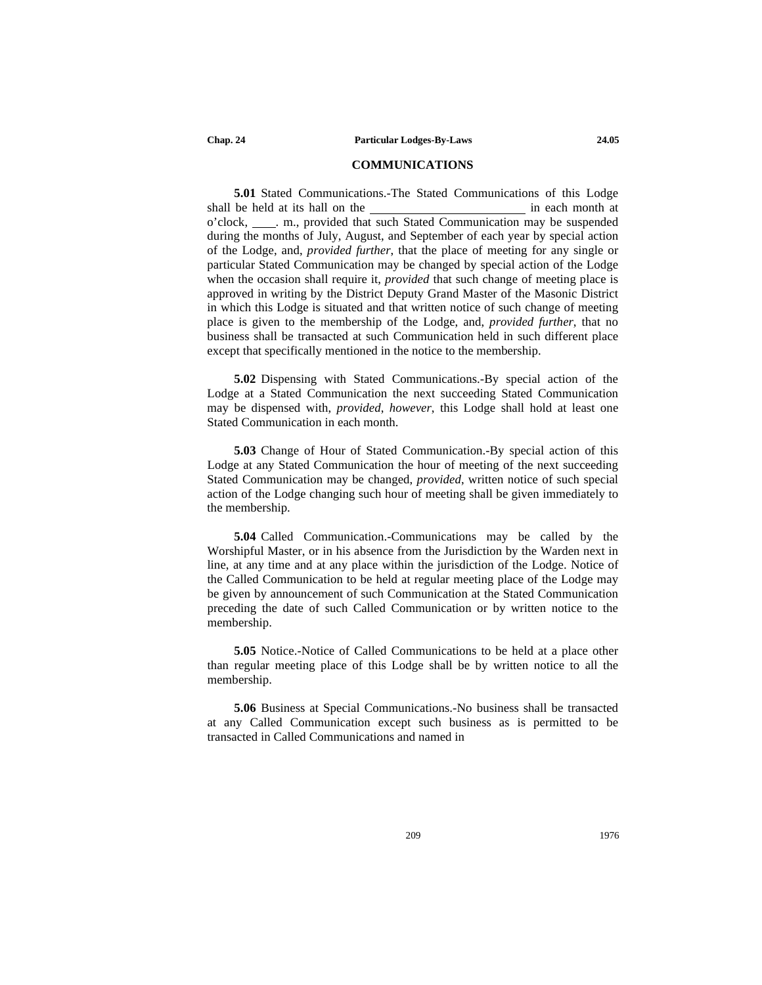#### **COMMUNICATIONS**

**5.01** Stated Communications.-The Stated Communications of this Lodge shall be held at its hall on the in each month at in each month at o'clock, . m., provided that such Stated Communication may be suspended during the months of July, August, and September of each year by special action of the Lodge, and, *provided further*, that the place of meeting for any single or particular Stated Communication may be changed by special action of the Lodge when the occasion shall require it, *provided* that such change of meeting place is approved in writing by the District Deputy Grand Master of the Masonic District in which this Lodge is situated and that written notice of such change of meeting place is given to the membership of the Lodge, and, *provided further*, that no business shall be transacted at such Communication held in such different place except that specifically mentioned in the notice to the membership.

**5.02** Dispensing with Stated Communications.-By special action of the Lodge at a Stated Communication the next succeeding Stated Communication may be dispensed with, *provided*, *however*, this Lodge shall hold at least one Stated Communication in each month.

**5.03** Change of Hour of Stated Communication.-By special action of this Lodge at any Stated Communication the hour of meeting of the next succeeding Stated Communication may be changed, *provided*, written notice of such special action of the Lodge changing such hour of meeting shall be given immediately to the membership.

**5.04** Called Communication.-Communications may be called by the Worshipful Master, or in his absence from the Jurisdiction by the Warden next in line, at any time and at any place within the jurisdiction of the Lodge. Notice of the Called Communication to be held at regular meeting place of the Lodge may be given by announcement of such Communication at the Stated Communication preceding the date of such Called Communication or by written notice to the membership.

**5.05** Notice.-Notice of Called Communications to be held at a place other than regular meeting place of this Lodge shall be by written notice to all the membership.

**5.06** Business at Special Communications.-No business shall be transacted at any Called Communication except such business as is permitted to be transacted in Called Communications and named in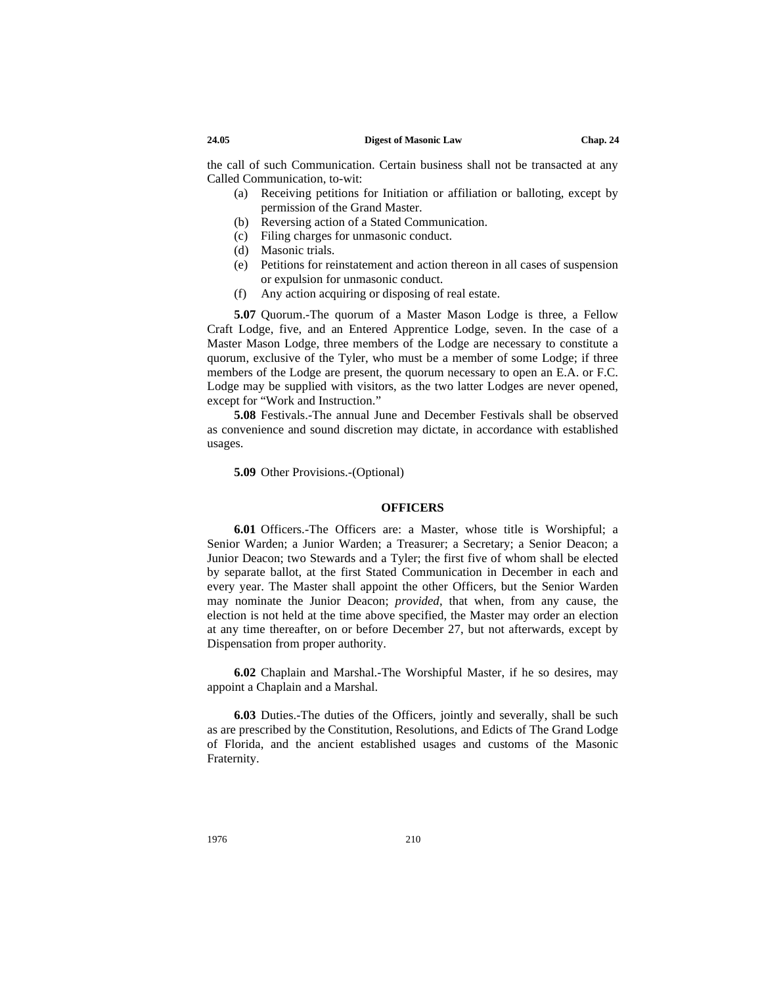the call of such Communication. Certain business shall not be transacted at any Called Communication, to-wit:

- (a) Receiving petitions for Initiation or affiliation or balloting, except by permission of the Grand Master.
- (b) Reversing action of a Stated Communication.
- (c) Filing charges for unmasonic conduct.
- (d) Masonic trials.
- (e) Petitions for reinstatement and action thereon in all cases of suspension or expulsion for unmasonic conduct.
- (f) Any action acquiring or disposing of real estate.

**5.07** Quorum.-The quorum of a Master Mason Lodge is three, a Fellow Craft Lodge, five, and an Entered Apprentice Lodge, seven. In the case of a Master Mason Lodge, three members of the Lodge are necessary to constitute a quorum, exclusive of the Tyler, who must be a member of some Lodge; if three members of the Lodge are present, the quorum necessary to open an E.A. or F.C. Lodge may be supplied with visitors, as the two latter Lodges are never opened, except for "Work and Instruction."

**5.08** Festivals.-The annual June and December Festivals shall be observed as convenience and sound discretion may dictate, in accordance with established usages.

**5.09** Other Provisions.-(Optional)

#### **OFFICERS**

**6.01** Officers.-The Officers are: a Master, whose title is Worshipful; a Senior Warden; a Junior Warden; a Treasurer; a Secretary; a Senior Deacon; a Junior Deacon; two Stewards and a Tyler; the first five of whom shall be elected by separate ballot, at the first Stated Communication in December in each and every year. The Master shall appoint the other Officers, but the Senior Warden may nominate the Junior Deacon; *provided*, that when, from any cause, the election is not held at the time above specified, the Master may order an election at any time thereafter, on or before December 27, but not afterwards, except by Dispensation from proper authority.

**6.02** Chaplain and Marshal.-The Worshipful Master, if he so desires, may appoint a Chaplain and a Marshal.

**6.03** Duties.-The duties of the Officers, jointly and severally, shall be such as are prescribed by the Constitution, Resolutions, and Edicts of The Grand Lodge of Florida, and the ancient established usages and customs of the Masonic Fraternity.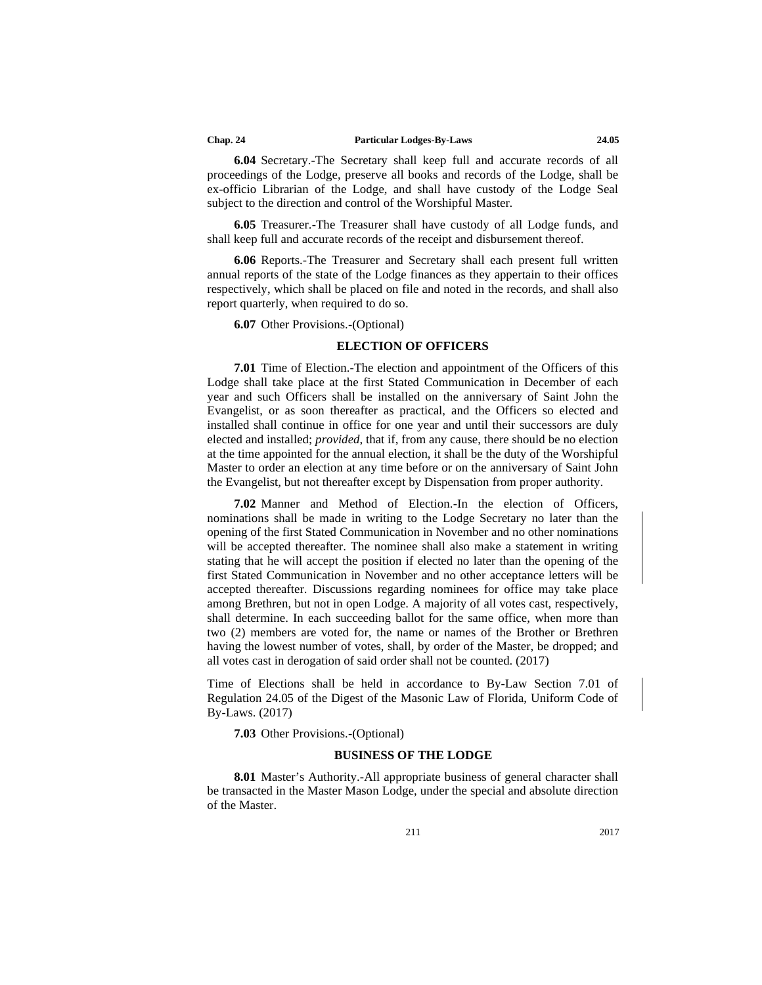#### **Chap. 24 Particular Lodges-By-Laws 24.05**

**6.04** Secretary.-The Secretary shall keep full and accurate records of all proceedings of the Lodge, preserve all books and records of the Lodge, shall be ex-officio Librarian of the Lodge, and shall have custody of the Lodge Seal subject to the direction and control of the Worshipful Master.

**6.05** Treasurer.-The Treasurer shall have custody of all Lodge funds, and shall keep full and accurate records of the receipt and disbursement thereof.

**6.06** Reports.-The Treasurer and Secretary shall each present full written annual reports of the state of the Lodge finances as they appertain to their offices respectively, which shall be placed on file and noted in the records, and shall also report quarterly, when required to do so.

#### **6.07** Other Provisions.-(Optional)

#### **ELECTION OF OFFICERS**

**7.01** Time of Election.-The election and appointment of the Officers of this Lodge shall take place at the first Stated Communication in December of each year and such Officers shall be installed on the anniversary of Saint John the Evangelist, or as soon thereafter as practical, and the Officers so elected and installed shall continue in office for one year and until their successors are duly elected and installed; *provided*, that if, from any cause, there should be no election at the time appointed for the annual election, it shall be the duty of the Worshipful Master to order an election at any time before or on the anniversary of Saint John the Evangelist, but not thereafter except by Dispensation from proper authority.

**7.02** Manner and Method of Election.-In the election of Officers, nominations shall be made in writing to the Lodge Secretary no later than the opening of the first Stated Communication in November and no other nominations will be accepted thereafter. The nominee shall also make a statement in writing stating that he will accept the position if elected no later than the opening of the first Stated Communication in November and no other acceptance letters will be accepted thereafter. Discussions regarding nominees for office may take place among Brethren, but not in open Lodge. A majority of all votes cast, respectively, shall determine. In each succeeding ballot for the same office, when more than two (2) members are voted for, the name or names of the Brother or Brethren having the lowest number of votes, shall, by order of the Master, be dropped; and all votes cast in derogation of said order shall not be counted. (2017)

Time of Elections shall be held in accordance to By-Law Section 7.01 of Regulation 24.05 of the Digest of the Masonic Law of Florida, Uniform Code of By-Laws. (2017)

**7.03** Other Provisions.-(Optional)

#### **BUSINESS OF THE LODGE**

**8.01** Master's Authority.-All appropriate business of general character shall be transacted in the Master Mason Lodge, under the special and absolute direction of the Master.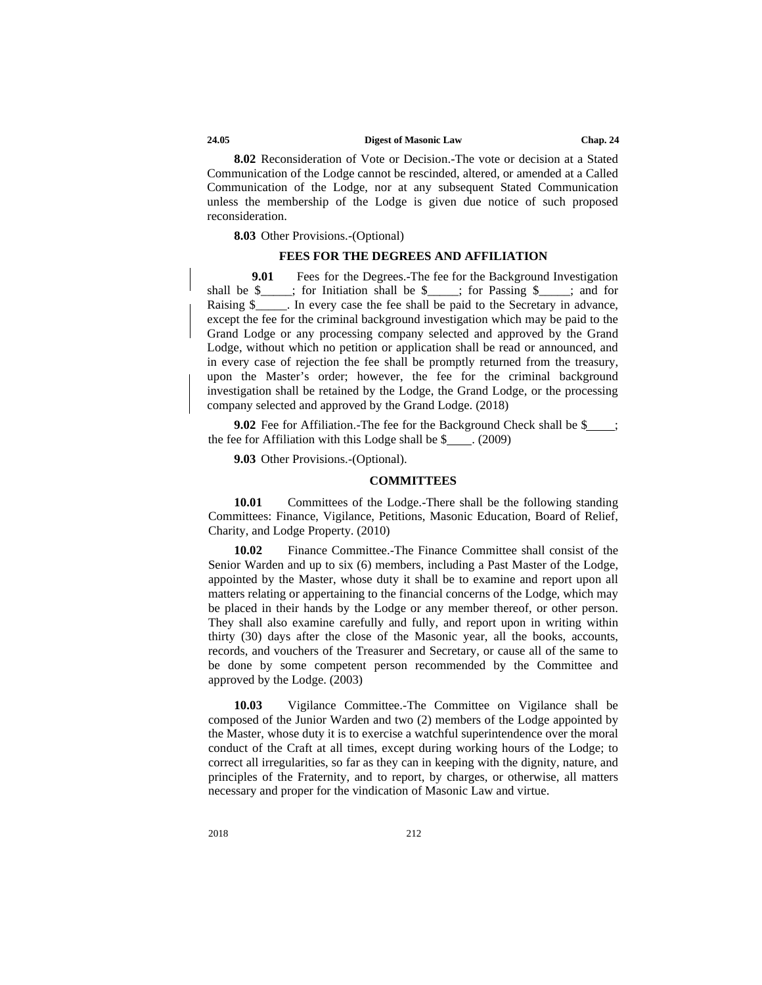**8.02** Reconsideration of Vote or Decision.-The vote or decision at a Stated Communication of the Lodge cannot be rescinded, altered, or amended at a Called Communication of the Lodge, nor at any subsequent Stated Communication unless the membership of the Lodge is given due notice of such proposed reconsideration.

#### **8.03** Other Provisions.-(Optional)

#### **FEES FOR THE DEGREES AND AFFILIATION**

**9.01** Fees for the Degrees.-The fee for the Background Investigation shall be \$\_\_\_\_; for Initiation shall be \$\_\_\_\_; for Passing \$\_\_\_\_; and for Raising \$ The every case the fee shall be paid to the Secretary in advance, except the fee for the criminal background investigation which may be paid to the Grand Lodge or any processing company selected and approved by the Grand Lodge, without which no petition or application shall be read or announced, and in every case of rejection the fee shall be promptly returned from the treasury, upon the Master's order; however, the fee for the criminal background investigation shall be retained by the Lodge, the Grand Lodge, or the processing company selected and approved by the Grand Lodge. (2018)

**9.02** Fee for Affiliation.-The fee for the Background Check shall be \$ ; the fee for Affiliation with this Lodge shall be  $$$  . (2009)

**9.03** Other Provisions.-(Optional).

#### **COMMITTEES**

**10.01** Committees of the Lodge.-There shall be the following standing Committees: Finance, Vigilance, Petitions, Masonic Education, Board of Relief, Charity, and Lodge Property. (2010)

**10.02** Finance Committee.-The Finance Committee shall consist of the Senior Warden and up to six (6) members, including a Past Master of the Lodge, appointed by the Master, whose duty it shall be to examine and report upon all matters relating or appertaining to the financial concerns of the Lodge, which may be placed in their hands by the Lodge or any member thereof, or other person. They shall also examine carefully and fully, and report upon in writing within thirty (30) days after the close of the Masonic year, all the books, accounts, records, and vouchers of the Treasurer and Secretary, or cause all of the same to be done by some competent person recommended by the Committee and approved by the Lodge. (2003)

**10.03** Vigilance Committee.-The Committee on Vigilance shall be composed of the Junior Warden and two (2) members of the Lodge appointed by the Master, whose duty it is to exercise a watchful superintendence over the moral conduct of the Craft at all times, except during working hours of the Lodge; to correct all irregularities, so far as they can in keeping with the dignity, nature, and principles of the Fraternity, and to report, by charges, or otherwise, all matters necessary and proper for the vindication of Masonic Law and virtue.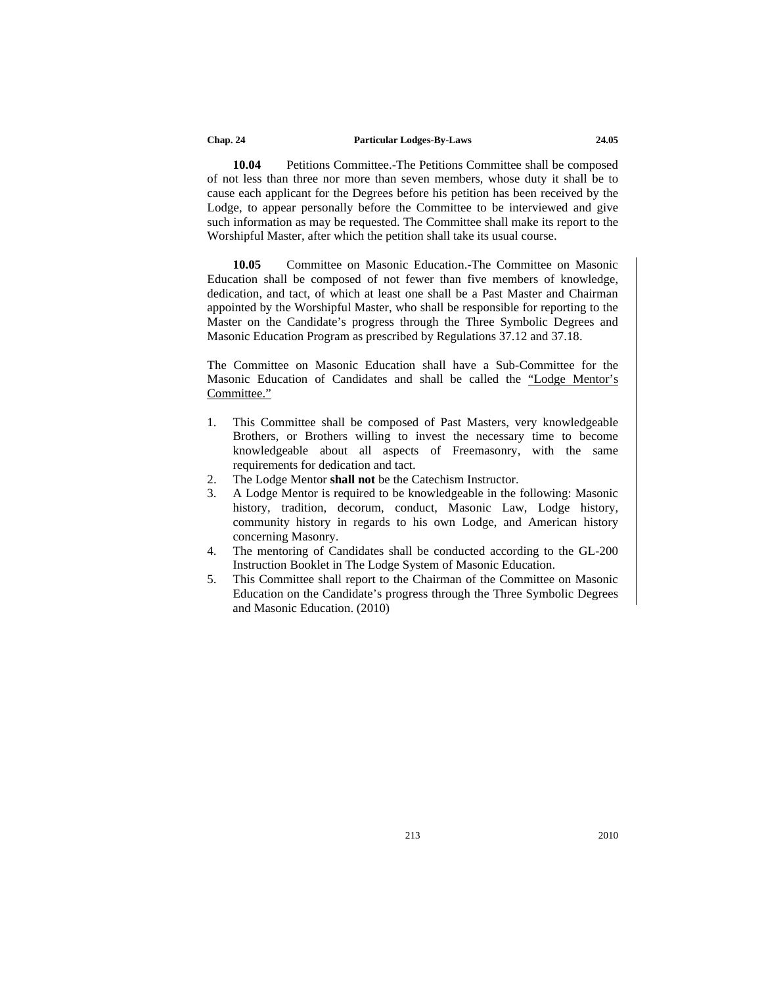#### **Chap. 24 Particular Lodges-By-Laws 24.05**

**10.04** Petitions Committee.-The Petitions Committee shall be composed of not less than three nor more than seven members, whose duty it shall be to cause each applicant for the Degrees before his petition has been received by the Lodge, to appear personally before the Committee to be interviewed and give such information as may be requested. The Committee shall make its report to the Worshipful Master, after which the petition shall take its usual course.

**10.05** Committee on Masonic Education.-The Committee on Masonic Education shall be composed of not fewer than five members of knowledge, dedication, and tact, of which at least one shall be a Past Master and Chairman appointed by the Worshipful Master, who shall be responsible for reporting to the Master on the Candidate's progress through the Three Symbolic Degrees and Masonic Education Program as prescribed by Regulations 37.12 and 37.18.

The Committee on Masonic Education shall have a Sub-Committee for the Masonic Education of Candidates and shall be called the "Lodge Mentor's Committee."

- 1. This Committee shall be composed of Past Masters, very knowledgeable Brothers, or Brothers willing to invest the necessary time to become knowledgeable about all aspects of Freemasonry, with the same requirements for dedication and tact.
- 2. The Lodge Mentor **shall not** be the Catechism Instructor.
- 3. A Lodge Mentor is required to be knowledgeable in the following: Masonic history, tradition, decorum, conduct, Masonic Law, Lodge history, community history in regards to his own Lodge, and American history concerning Masonry.
- 4. The mentoring of Candidates shall be conducted according to the GL-200 Instruction Booklet in The Lodge System of Masonic Education.
- 5. This Committee shall report to the Chairman of the Committee on Masonic Education on the Candidate's progress through the Three Symbolic Degrees and Masonic Education. (2010)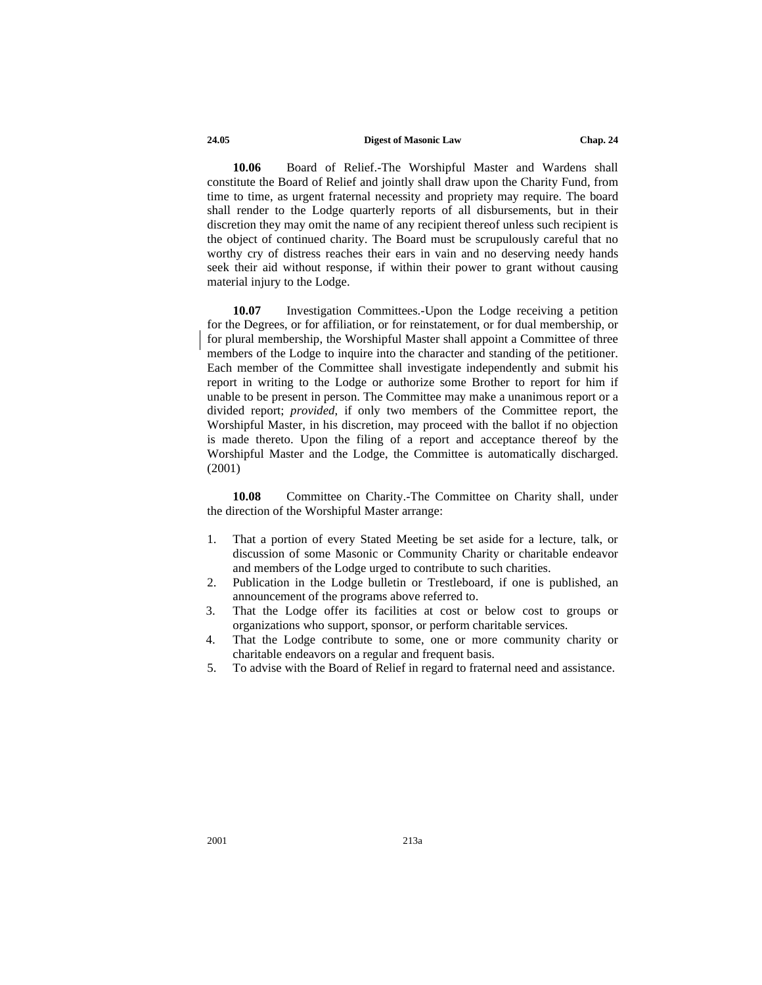**10.06** Board of Relief.-The Worshipful Master and Wardens shall constitute the Board of Relief and jointly shall draw upon the Charity Fund, from time to time, as urgent fraternal necessity and propriety may require. The board shall render to the Lodge quarterly reports of all disbursements, but in their discretion they may omit the name of any recipient thereof unless such recipient is the object of continued charity. The Board must be scrupulously careful that no worthy cry of distress reaches their ears in vain and no deserving needy hands seek their aid without response, if within their power to grant without causing material injury to the Lodge.

**10.07** Investigation Committees.-Upon the Lodge receiving a petition for the Degrees, or for affiliation, or for reinstatement, or for dual membership, or for plural membership, the Worshipful Master shall appoint a Committee of three members of the Lodge to inquire into the character and standing of the petitioner. Each member of the Committee shall investigate independently and submit his report in writing to the Lodge or authorize some Brother to report for him if unable to be present in person. The Committee may make a unanimous report or a divided report; *provided*, if only two members of the Committee report, the Worshipful Master, in his discretion, may proceed with the ballot if no objection is made thereto. Upon the filing of a report and acceptance thereof by the Worshipful Master and the Lodge, the Committee is automatically discharged. (2001)

**10.08** Committee on Charity.-The Committee on Charity shall, under the direction of the Worshipful Master arrange:

- 1. That a portion of every Stated Meeting be set aside for a lecture, talk, or discussion of some Masonic or Community Charity or charitable endeavor and members of the Lodge urged to contribute to such charities.
- 2. Publication in the Lodge bulletin or Trestleboard, if one is published, an announcement of the programs above referred to.
- 3. That the Lodge offer its facilities at cost or below cost to groups or organizations who support, sponsor, or perform charitable services.
- 4. That the Lodge contribute to some, one or more community charity or charitable endeavors on a regular and frequent basis.
- 5. To advise with the Board of Relief in regard to fraternal need and assistance.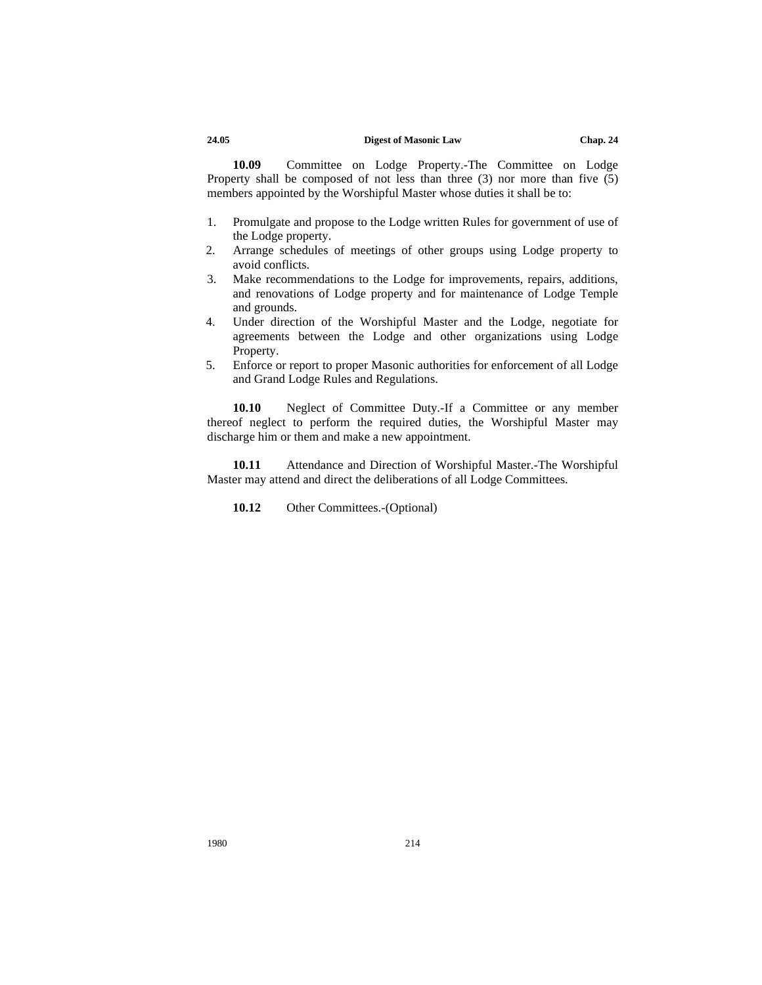**10.09** Committee on Lodge Property.-The Committee on Lodge Property shall be composed of not less than three (3) nor more than five (5) members appointed by the Worshipful Master whose duties it shall be to:

- 1. Promulgate and propose to the Lodge written Rules for government of use of the Lodge property.
- 2. Arrange schedules of meetings of other groups using Lodge property to avoid conflicts.
- 3. Make recommendations to the Lodge for improvements, repairs, additions, and renovations of Lodge property and for maintenance of Lodge Temple and grounds.
- 4. Under direction of the Worshipful Master and the Lodge, negotiate for agreements between the Lodge and other organizations using Lodge Property.
- 5. Enforce or report to proper Masonic authorities for enforcement of all Lodge and Grand Lodge Rules and Regulations.

**10.10** Neglect of Committee Duty.-If a Committee or any member thereof neglect to perform the required duties, the Worshipful Master may discharge him or them and make a new appointment.

**10.11** Attendance and Direction of Worshipful Master.-The Worshipful Master may attend and direct the deliberations of all Lodge Committees.

10.12 Other Committees.-(Optional)

1980 214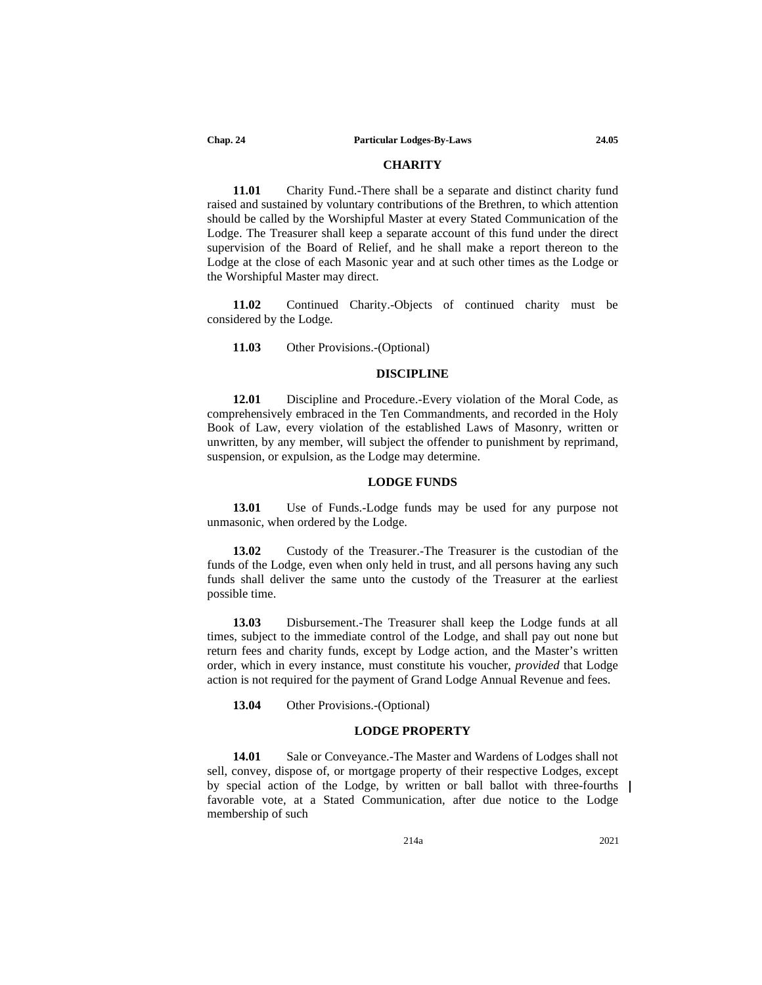#### **CHARITY**

**11.01** Charity Fund.-There shall be a separate and distinct charity fund raised and sustained by voluntary contributions of the Brethren, to which attention should be called by the Worshipful Master at every Stated Communication of the Lodge. The Treasurer shall keep a separate account of this fund under the direct supervision of the Board of Relief, and he shall make a report thereon to the Lodge at the close of each Masonic year and at such other times as the Lodge or the Worshipful Master may direct.

**11.02** Continued Charity.-Objects of continued charity must be considered by the Lodge.

#### **11.03** Other Provisions.-(Optional)

#### **DISCIPLINE**

**12.01** Discipline and Procedure.-Every violation of the Moral Code, as comprehensively embraced in the Ten Commandments, and recorded in the Holy Book of Law, every violation of the established Laws of Masonry, written or unwritten, by any member, will subject the offender to punishment by reprimand, suspension, or expulsion, as the Lodge may determine.

#### **LODGE FUNDS**

**13.01** Use of Funds.-Lodge funds may be used for any purpose not unmasonic, when ordered by the Lodge.

**13.02** Custody of the Treasurer.-The Treasurer is the custodian of the funds of the Lodge, even when only held in trust, and all persons having any such funds shall deliver the same unto the custody of the Treasurer at the earliest possible time.

**13.03** Disbursement.-The Treasurer shall keep the Lodge funds at all times, subject to the immediate control of the Lodge, and shall pay out none but return fees and charity funds, except by Lodge action, and the Master's written order, which in every instance, must constitute his voucher, *provided* that Lodge action is not required for the payment of Grand Lodge Annual Revenue and fees.

**13.04** Other Provisions.-(Optional)

#### **LODGE PROPERTY**

**14.01** Sale or Conveyance.-The Master and Wardens of Lodges shall not sell, convey, dispose of, or mortgage property of their respective Lodges, except by special action of the Lodge, by written or ball ballot with three-fourths favorable vote, at a Stated Communication, after due notice to the Lodge membership of such

214a 2021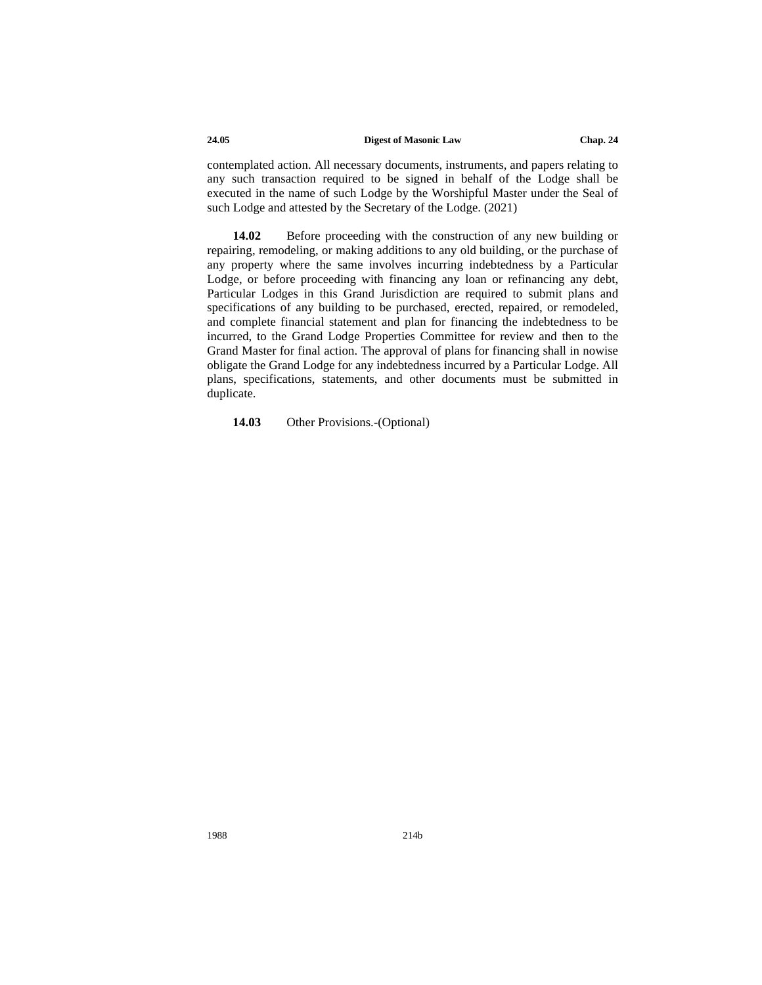contemplated action. All necessary documents, instruments, and papers relating to any such transaction required to be signed in behalf of the Lodge shall be executed in the name of such Lodge by the Worshipful Master under the Seal of such Lodge and attested by the Secretary of the Lodge. (2021)

**14.02** Before proceeding with the construction of any new building or repairing, remodeling, or making additions to any old building, or the purchase of any property where the same involves incurring indebtedness by a Particular Lodge, or before proceeding with financing any loan or refinancing any debt, Particular Lodges in this Grand Jurisdiction are required to submit plans and specifications of any building to be purchased, erected, repaired, or remodeled, and complete financial statement and plan for financing the indebtedness to be incurred, to the Grand Lodge Properties Committee for review and then to the Grand Master for final action. The approval of plans for financing shall in nowise obligate the Grand Lodge for any indebtedness incurred by a Particular Lodge. All plans, specifications, statements, and other documents must be submitted in duplicate.

#### **14.03** Other Provisions.-(Optional)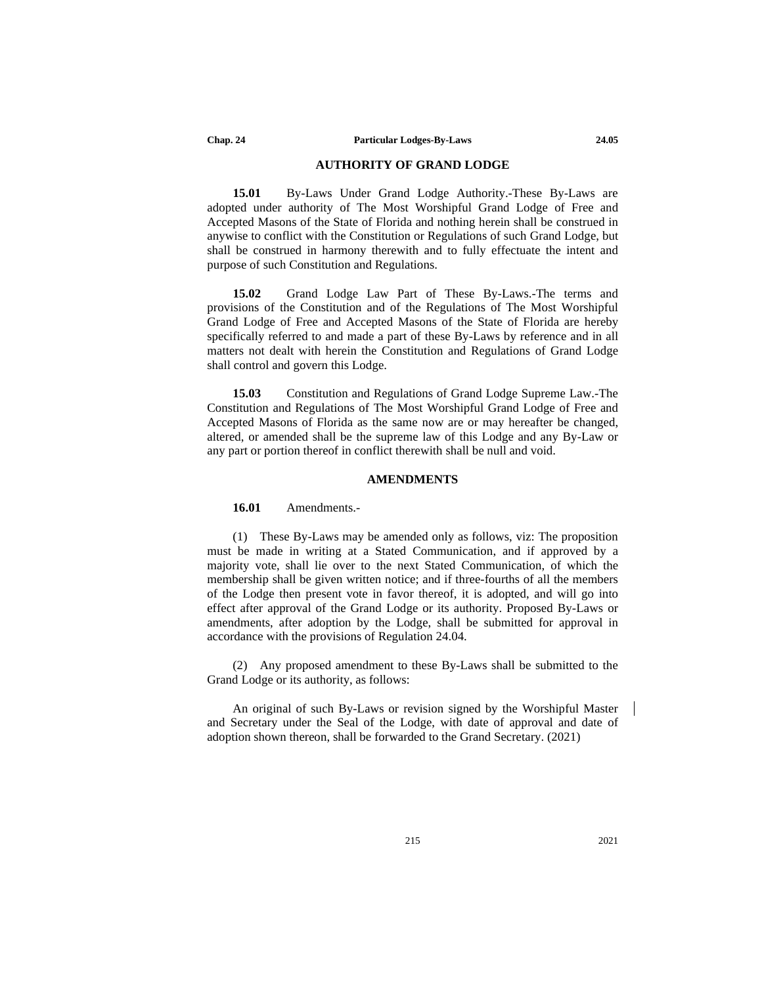#### **AUTHORITY OF GRAND LODGE**

**15.01** By-Laws Under Grand Lodge Authority.-These By-Laws are adopted under authority of The Most Worshipful Grand Lodge of Free and Accepted Masons of the State of Florida and nothing herein shall be construed in anywise to conflict with the Constitution or Regulations of such Grand Lodge, but shall be construed in harmony therewith and to fully effectuate the intent and purpose of such Constitution and Regulations.

**15.02** Grand Lodge Law Part of These By-Laws.-The terms and provisions of the Constitution and of the Regulations of The Most Worshipful Grand Lodge of Free and Accepted Masons of the State of Florida are hereby specifically referred to and made a part of these By-Laws by reference and in all matters not dealt with herein the Constitution and Regulations of Grand Lodge shall control and govern this Lodge.

**15.03** Constitution and Regulations of Grand Lodge Supreme Law.-The Constitution and Regulations of The Most Worshipful Grand Lodge of Free and Accepted Masons of Florida as the same now are or may hereafter be changed, altered, or amended shall be the supreme law of this Lodge and any By-Law or any part or portion thereof in conflict therewith shall be null and void.

#### **AMENDMENTS**

#### **16.01** Amendments.-

(1) These By-Laws may be amended only as follows, viz: The proposition must be made in writing at a Stated Communication, and if approved by a majority vote, shall lie over to the next Stated Communication, of which the membership shall be given written notice; and if three-fourths of all the members of the Lodge then present vote in favor thereof, it is adopted, and will go into effect after approval of the Grand Lodge or its authority. Proposed By-Laws or amendments, after adoption by the Lodge, shall be submitted for approval in accordance with the provisions of Regulation 24.04.

(2) Any proposed amendment to these By-Laws shall be submitted to the Grand Lodge or its authority, as follows:

An original of such By-Laws or revision signed by the Worshipful Master and Secretary under the Seal of the Lodge, with date of approval and date of adoption shown thereon, shall be forwarded to the Grand Secretary. (2021)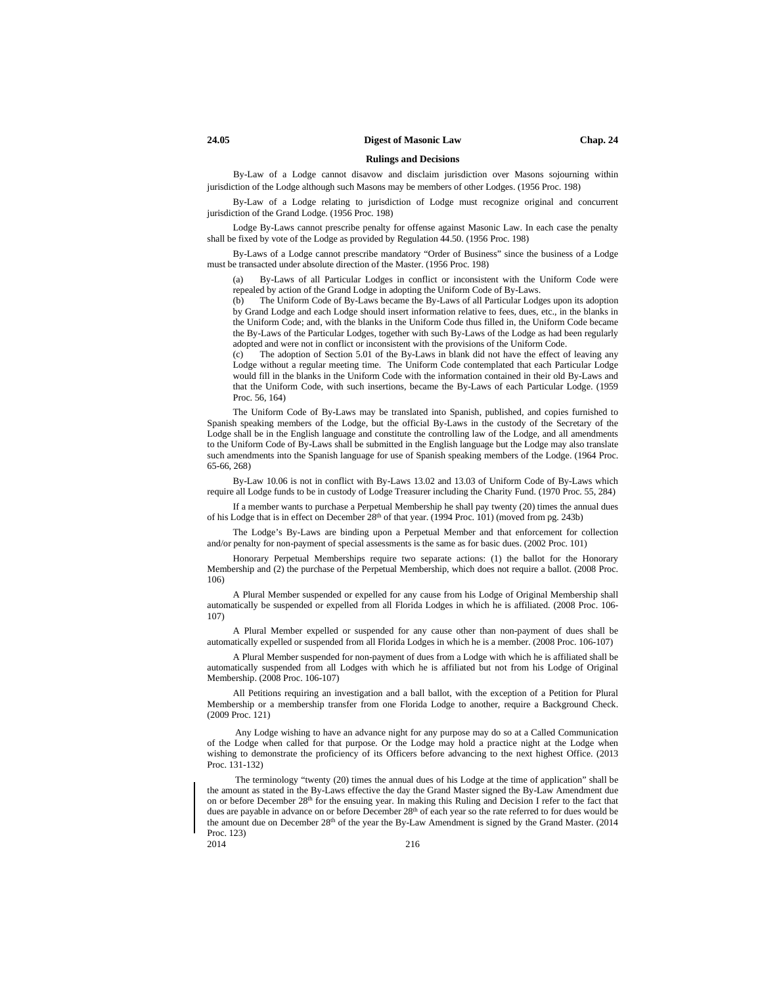#### **Rulings and Decisions**

By-Law of a Lodge cannot disavow and disclaim jurisdiction over Masons sojourning within jurisdiction of the Lodge although such Masons may be members of other Lodges. (1956 Proc. 198)

By-Law of a Lodge relating to jurisdiction of Lodge must recognize original and concurrent jurisdiction of the Grand Lodge. (1956 Proc. 198)

Lodge By-Laws cannot prescribe penalty for offense against Masonic Law. In each case the penalty shall be fixed by vote of the Lodge as provided by Regulation 44.50. (1956 Proc. 198)

By-Laws of a Lodge cannot prescribe mandatory "Order of Business" since the business of a Lodge must be transacted under absolute direction of the Master. (1956 Proc. 198)

(a) By-Laws of all Particular Lodges in conflict or inconsistent with the Uniform Code were repealed by action of the Grand Lodge in adopting the Uniform Code of By-Laws.

(b) The Uniform Code of By-Laws became the By-Laws of all Particular Lodges upon its adoption by Grand Lodge and each Lodge should insert information relative to fees, dues, etc., in the blanks in the Uniform Code; and, with the blanks in the Uniform Code thus filled in, the Uniform Code became the By-Laws of the Particular Lodges, together with such By-Laws of the Lodge as had been regularly adopted and were not in conflict or inconsistent with the provisions of the Uniform Code.

(c) The adoption of Section 5.01 of the By-Laws in blank did not have the effect of leaving any Lodge without a regular meeting time. The Uniform Code contemplated that each Particular Lodge would fill in the blanks in the Uniform Code with the information contained in their old By-Laws and that the Uniform Code, with such insertions, became the By-Laws of each Particular Lodge. (1959 Proc. 56, 164)

The Uniform Code of By-Laws may be translated into Spanish, published, and copies furnished to Spanish speaking members of the Lodge, but the official By-Laws in the custody of the Secretary of the Lodge shall be in the English language and constitute the controlling law of the Lodge, and all amendments to the Uniform Code of By-Laws shall be submitted in the English language but the Lodge may also translate such amendments into the Spanish language for use of Spanish speaking members of the Lodge. (1964 Proc. 65-66, 268)

By-Law 10.06 is not in conflict with By-Laws 13.02 and 13.03 of Uniform Code of By-Laws which require all Lodge funds to be in custody of Lodge Treasurer including the Charity Fund. (1970 Proc. 55, 284)

If a member wants to purchase a Perpetual Membership he shall pay twenty (20) times the annual dues of his Lodge that is in effect on December 28th of that year. (1994 Proc. 101) (moved from pg. 243b)

The Lodge's By-Laws are binding upon a Perpetual Member and that enforcement for collection and/or penalty for non-payment of special assessments is the same as for basic dues. (2002 Proc. 101)

Honorary Perpetual Memberships require two separate actions: (1) the ballot for the Honorary Membership and (2) the purchase of the Perpetual Membership, which does not require a ballot. (2008 Proc. 106)

A Plural Member suspended or expelled for any cause from his Lodge of Original Membership shall automatically be suspended or expelled from all Florida Lodges in which he is affiliated. (2008 Proc. 106- 107)

A Plural Member expelled or suspended for any cause other than non-payment of dues shall be automatically expelled or suspended from all Florida Lodges in which he is a member. (2008 Proc. 106-107)

A Plural Member suspended for non-payment of dues from a Lodge with which he is affiliated shall be automatically suspended from all Lodges with which he is affiliated but not from his Lodge of Original Membership. (2008 Proc. 106-107)

All Petitions requiring an investigation and a ball ballot, with the exception of a Petition for Plural Membership or a membership transfer from one Florida Lodge to another, require a Background Check. (2009 Proc. 121)

Any Lodge wishing to have an advance night for any purpose may do so at a Called Communication of the Lodge when called for that purpose. Or the Lodge may hold a practice night at the Lodge when wishing to demonstrate the proficiency of its Officers before advancing to the next highest Office. (2013 Proc. 131-132)

The terminology "twenty (20) times the annual dues of his Lodge at the time of application" shall be the amount as stated in the By-Laws effective the day the Grand Master signed the By-Law Amendment due on or before December 28<sup>th</sup> for the ensuing year. In making this Ruling and Decision I refer to the fact that dues are payable in advance on or before December 28<sup>th</sup> of each year so the rate referred to for dues would be the amount due on December 28th of the year the By-Law Amendment is signed by the Grand Master. (2014 Proc. 123)